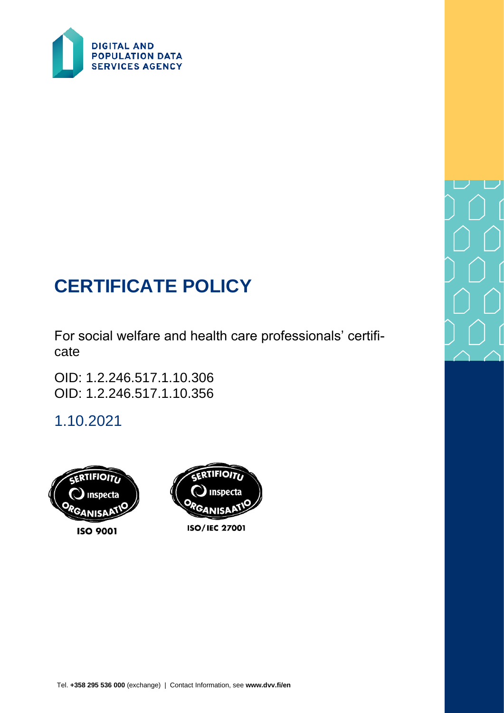

# **CERTIFICATE POLICY**

For social welfare and health care professionals' certificate

OID: 1.2.246.517.1.10.306 OID: 1.2.246.517.1.10.356

1.10.2021





#### **ISO/IEC 27001**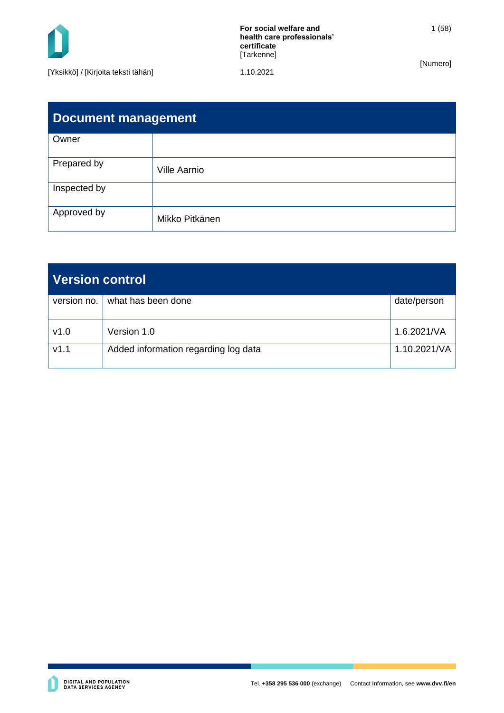

1 (58)

| <b>Document management</b> |                     |  |
|----------------------------|---------------------|--|
| Owner                      |                     |  |
| Prepared by                | <b>Ville Aarnio</b> |  |
| Inspected by               |                     |  |
| Approved by                | Mikko Pitkänen      |  |

| <b>Version control</b> |                                      |              |  |
|------------------------|--------------------------------------|--------------|--|
| version no. $ $        | what has been done                   | date/person  |  |
| v1.0                   | Version 1.0                          | 1.6.2021/VA  |  |
| V1.1                   | Added information regarding log data | 1.10.2021/VA |  |

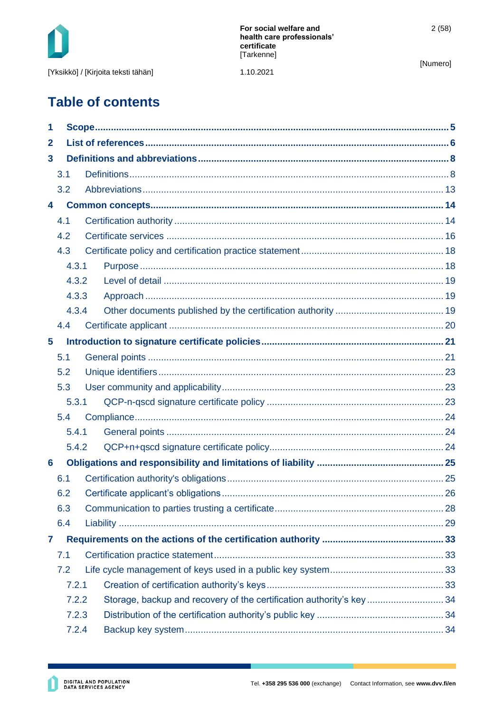

1.10.2021

[Numero]

## **Table of contents**

| 1                       |       |  |                                                                     |  |
|-------------------------|-------|--|---------------------------------------------------------------------|--|
| $\mathbf{2}$            |       |  |                                                                     |  |
| $\mathbf{3}$            |       |  |                                                                     |  |
|                         | 3.1   |  |                                                                     |  |
|                         | 3.2   |  |                                                                     |  |
| 4                       |       |  |                                                                     |  |
|                         | 4.1   |  |                                                                     |  |
|                         | 4.2   |  |                                                                     |  |
|                         | 4.3   |  |                                                                     |  |
|                         | 4.3.1 |  |                                                                     |  |
|                         | 4.3.2 |  |                                                                     |  |
|                         | 4.3.3 |  |                                                                     |  |
|                         | 4.3.4 |  |                                                                     |  |
|                         | 4.4   |  |                                                                     |  |
| $\overline{\mathbf{5}}$ |       |  |                                                                     |  |
|                         | 5.1   |  |                                                                     |  |
|                         | 5.2   |  |                                                                     |  |
|                         | 5.3   |  |                                                                     |  |
|                         | 5.3.1 |  |                                                                     |  |
|                         | 5.4   |  |                                                                     |  |
|                         | 5.4.1 |  |                                                                     |  |
|                         | 5.4.2 |  |                                                                     |  |
| 6                       |       |  |                                                                     |  |
|                         | 6.1   |  |                                                                     |  |
|                         | 6.2   |  |                                                                     |  |
|                         | 6.3   |  |                                                                     |  |
|                         | 6.4   |  |                                                                     |  |
| 7                       |       |  |                                                                     |  |
|                         | 7.1   |  |                                                                     |  |
|                         | 7.2   |  |                                                                     |  |
|                         | 7.2.1 |  |                                                                     |  |
|                         | 7.2.2 |  | Storage, backup and recovery of the certification authority's key34 |  |
|                         | 7.2.3 |  |                                                                     |  |
|                         | 7.2.4 |  |                                                                     |  |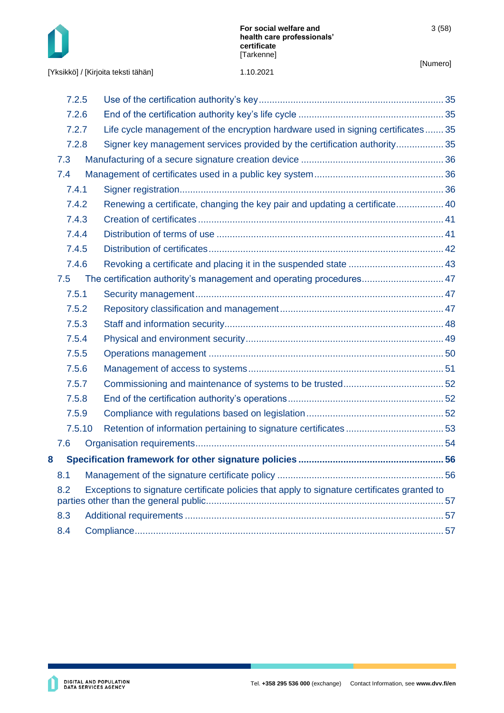

[Yksikkö] / [Kirjoita teksti tähän]

|                                                                                                     | 7.2.5  |                                                                                 |  |
|-----------------------------------------------------------------------------------------------------|--------|---------------------------------------------------------------------------------|--|
|                                                                                                     | 7.2.6  |                                                                                 |  |
|                                                                                                     | 7.2.7  | Life cycle management of the encryption hardware used in signing certificates35 |  |
|                                                                                                     | 7.2.8  | Signer key management services provided by the certification authority 35       |  |
|                                                                                                     | 7.3    |                                                                                 |  |
|                                                                                                     | 7.4    |                                                                                 |  |
|                                                                                                     | 7.4.1  |                                                                                 |  |
|                                                                                                     | 7.4.2  | Renewing a certificate, changing the key pair and updating a certificate 40     |  |
|                                                                                                     | 7.4.3  |                                                                                 |  |
|                                                                                                     | 7.4.4  |                                                                                 |  |
|                                                                                                     | 7.4.5  |                                                                                 |  |
|                                                                                                     | 7.4.6  |                                                                                 |  |
|                                                                                                     | 7.5    | The certification authority's management and operating procedures 47            |  |
|                                                                                                     | 7.5.1  |                                                                                 |  |
|                                                                                                     | 7.5.2  |                                                                                 |  |
|                                                                                                     | 7.5.3  |                                                                                 |  |
|                                                                                                     | 7.5.4  |                                                                                 |  |
|                                                                                                     | 7.5.5  |                                                                                 |  |
|                                                                                                     | 7.5.6  |                                                                                 |  |
|                                                                                                     | 7.5.7  |                                                                                 |  |
|                                                                                                     | 7.5.8  |                                                                                 |  |
|                                                                                                     | 7.5.9  |                                                                                 |  |
|                                                                                                     | 7.5.10 |                                                                                 |  |
|                                                                                                     | 7.6    |                                                                                 |  |
| 8                                                                                                   |        |                                                                                 |  |
|                                                                                                     | 8.1    |                                                                                 |  |
| 8.2<br>Exceptions to signature certificate policies that apply to signature certificates granted to |        |                                                                                 |  |
|                                                                                                     |        |                                                                                 |  |
|                                                                                                     | 8.3    |                                                                                 |  |
|                                                                                                     | 8.4    |                                                                                 |  |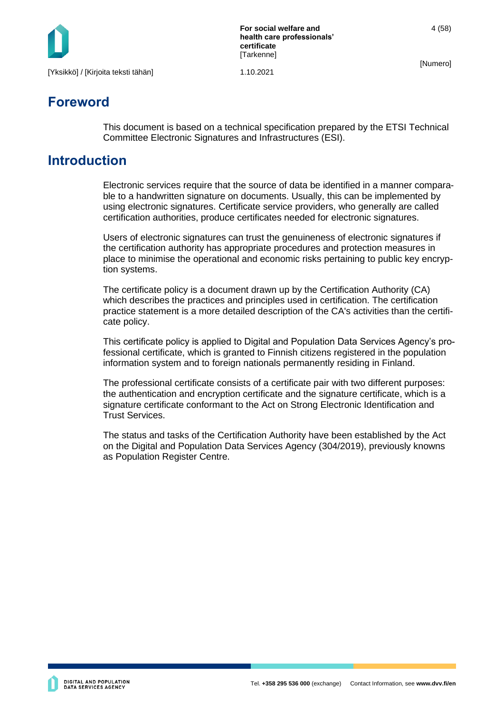

**For social welfare and health care professionals' certificate [Tarkenne]** 

4 (58)

[Numero]

## **Foreword**

This document is based on a technical specification prepared by the ETSI Technical Committee Electronic Signatures and Infrastructures (ESI).

## **Introduction**

Electronic services require that the source of data be identified in a manner comparable to a handwritten signature on documents. Usually, this can be implemented by using electronic signatures. Certificate service providers, who generally are called certification authorities, produce certificates needed for electronic signatures.

Users of electronic signatures can trust the genuineness of electronic signatures if the certification authority has appropriate procedures and protection measures in place to minimise the operational and economic risks pertaining to public key encryption systems.

The certificate policy is a document drawn up by the Certification Authority (CA) which describes the practices and principles used in certification. The certification practice statement is a more detailed description of the CA's activities than the certificate policy.

This certificate policy is applied to Digital and Population Data Services Agency's professional certificate, which is granted to Finnish citizens registered in the population information system and to foreign nationals permanently residing in Finland.

The professional certificate consists of a certificate pair with two different purposes: the authentication and encryption certificate and the signature certificate, which is a signature certificate conformant to the Act on Strong Electronic Identification and Trust Services.

The status and tasks of the Certification Authority have been established by the Act on the Digital and Population Data Services Agency (304/2019), previously knowns as Population Register Centre.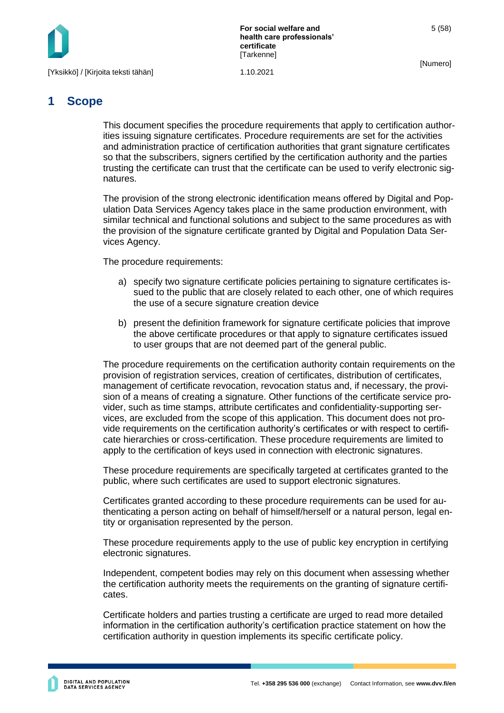

**For social welfare and health care professionals' certificate [Tarkenne]** 

[Numero]

5 (58)

## <span id="page-5-0"></span>**1 Scope**

This document specifies the procedure requirements that apply to certification authorities issuing signature certificates. Procedure requirements are set for the activities and administration practice of certification authorities that grant signature certificates so that the subscribers, signers certified by the certification authority and the parties trusting the certificate can trust that the certificate can be used to verify electronic signatures.

The provision of the strong electronic identification means offered by Digital and Population Data Services Agency takes place in the same production environment, with similar technical and functional solutions and subject to the same procedures as with the provision of the signature certificate granted by Digital and Population Data Services Agency.

The procedure requirements:

- a) specify two signature certificate policies pertaining to signature certificates issued to the public that are closely related to each other, one of which requires the use of a secure signature creation device
- b) present the definition framework for signature certificate policies that improve the above certificate procedures or that apply to signature certificates issued to user groups that are not deemed part of the general public.

The procedure requirements on the certification authority contain requirements on the provision of registration services, creation of certificates, distribution of certificates, management of certificate revocation, revocation status and, if necessary, the provision of a means of creating a signature. Other functions of the certificate service provider, such as time stamps, attribute certificates and confidentiality-supporting services, are excluded from the scope of this application. This document does not provide requirements on the certification authority's certificates or with respect to certificate hierarchies or cross-certification. These procedure requirements are limited to apply to the certification of keys used in connection with electronic signatures.

These procedure requirements are specifically targeted at certificates granted to the public, where such certificates are used to support electronic signatures.

Certificates granted according to these procedure requirements can be used for authenticating a person acting on behalf of himself/herself or a natural person, legal entity or organisation represented by the person.

These procedure requirements apply to the use of public key encryption in certifying electronic signatures.

Independent, competent bodies may rely on this document when assessing whether the certification authority meets the requirements on the granting of signature certificates.

Certificate holders and parties trusting a certificate are urged to read more detailed information in the certification authority's certification practice statement on how the certification authority in question implements its specific certificate policy.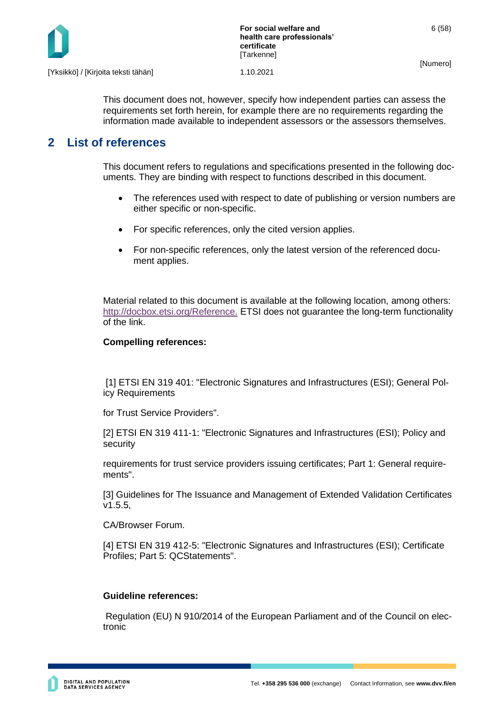

This document does not, however, specify how independent parties can assess the requirements set forth herein, for example there are no requirements regarding the information made available to independent assessors or the assessors themselves.

## <span id="page-6-0"></span>**2 List of references**

This document refers to regulations and specifications presented in the following documents. They are binding with respect to functions described in this document.

- The references used with respect to date of publishing or version numbers are either specific or non-specific.
- For specific references, only the cited version applies.
- For non-specific references, only the latest version of the referenced document applies.

Material related to this document is available at the following location, among others: <http://docbox.etsi.org/Reference.> ETSI does not guarantee the long-term functionality of the link.

#### **Compelling references:**

[1] ETSI EN 319 401: "Electronic Signatures and Infrastructures (ESI); General Policy Requirements

for Trust Service Providers".

[2] ETSI EN 319 411-1: "Electronic Signatures and Infrastructures (ESI); Policy and security

requirements for trust service providers issuing certificates; Part 1: General requirements".

[3] Guidelines for The Issuance and Management of Extended Validation Certificates v1.5.5,

CA/Browser Forum.

[4] ETSI EN 319 412-5: "Electronic Signatures and Infrastructures (ESI); Certificate Profiles; Part 5: QCStatements".

#### **Guideline references:**

Regulation (EU) N 910/2014 of the European Parliament and of the Council on electronic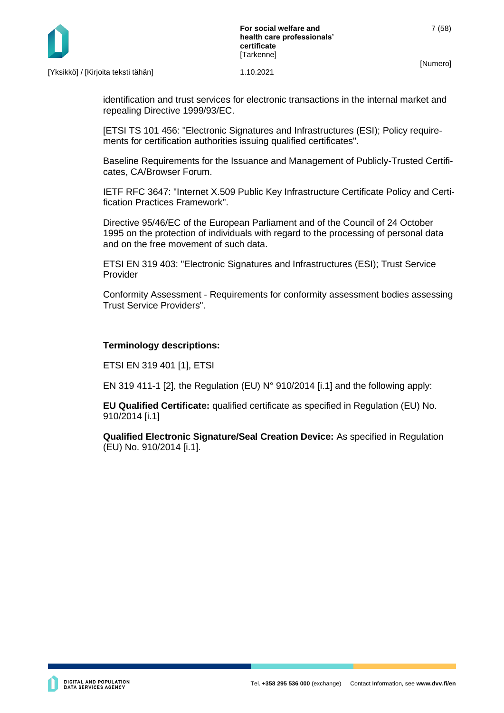

identification and trust services for electronic transactions in the internal market and repealing Directive 1999/93/EC.

[ETSI TS 101 456: "Electronic Signatures and Infrastructures (ESI); Policy requirements for certification authorities issuing qualified certificates".

Baseline Requirements for the Issuance and Management of Publicly-Trusted Certificates, CA/Browser Forum.

IETF RFC 3647: "Internet X.509 Public Key Infrastructure Certificate Policy and Certification Practices Framework".

Directive 95/46/EC of the European Parliament and of the Council of 24 October 1995 on the protection of individuals with regard to the processing of personal data and on the free movement of such data.

ETSI EN 319 403: "Electronic Signatures and Infrastructures (ESI); Trust Service Provider

Conformity Assessment - Requirements for conformity assessment bodies assessing Trust Service Providers".

#### **Terminology descriptions:**

ETSI EN 319 401 [1], ETSI

EN 319 411-1 [2], the Regulation (EU) N° 910/2014 [i.1] and the following apply:

**EU Qualified Certificate:** qualified certificate as specified in Regulation (EU) No. 910/2014 [i.1]

**Qualified Electronic Signature/Seal Creation Device:** As specified in Regulation (EU) No. 910/2014 [i.1].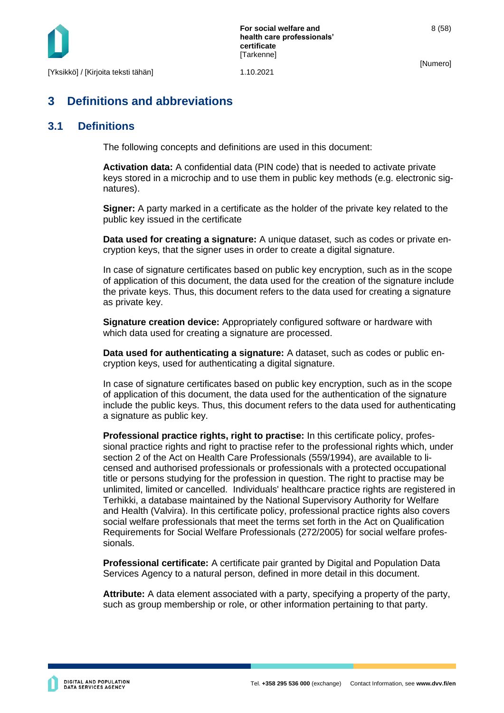

## <span id="page-8-0"></span>**3 Definitions and abbreviations**

### <span id="page-8-1"></span>**3.1 Definitions**

The following concepts and definitions are used in this document:

**Activation data:** A confidential data (PIN code) that is needed to activate private keys stored in a microchip and to use them in public key methods (e.g. electronic signatures).

**Signer:** A party marked in a certificate as the holder of the private key related to the public key issued in the certificate

**Data used for creating a signature:** A unique dataset, such as codes or private encryption keys, that the signer uses in order to create a digital signature.

In case of signature certificates based on public key encryption, such as in the scope of application of this document, the data used for the creation of the signature include the private keys. Thus, this document refers to the data used for creating a signature as private key.

**Signature creation device:** Appropriately configured software or hardware with which data used for creating a signature are processed.

**Data used for authenticating a signature:** A dataset, such as codes or public encryption keys, used for authenticating a digital signature.

In case of signature certificates based on public key encryption, such as in the scope of application of this document, the data used for the authentication of the signature include the public keys. Thus, this document refers to the data used for authenticating a signature as public key.

**Professional practice rights, right to practise:** In this certificate policy, professional practice rights and right to practise refer to the professional rights which, under section 2 of the Act on Health Care Professionals (559/1994), are available to licensed and authorised professionals or professionals with a protected occupational title or persons studying for the profession in question. The right to practise may be unlimited, limited or cancelled. Individuals' healthcare practice rights are registered in Terhikki, a database maintained by the National Supervisory Authority for Welfare and Health (Valvira). In this certificate policy, professional practice rights also covers social welfare professionals that meet the terms set forth in the Act on Qualification Requirements for Social Welfare Professionals (272/2005) for social welfare professionals.

**Professional certificate:** A certificate pair granted by Digital and Population Data Services Agency to a natural person, defined in more detail in this document.

**Attribute:** A data element associated with a party, specifying a property of the party, such as group membership or role, or other information pertaining to that party.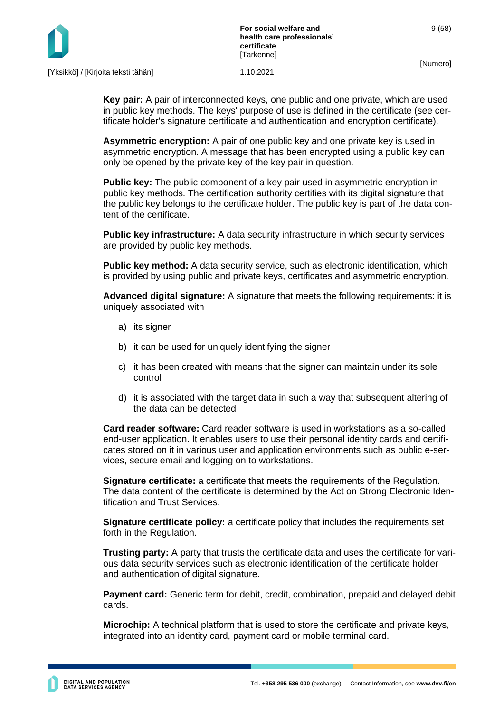

**Key pair:** A pair of interconnected keys, one public and one private, which are used in public key methods. The keys' purpose of use is defined in the certificate (see certificate holder's signature certificate and authentication and encryption certificate).

**Asymmetric encryption:** A pair of one public key and one private key is used in asymmetric encryption. A message that has been encrypted using a public key can only be opened by the private key of the key pair in question.

**Public key:** The public component of a key pair used in asymmetric encryption in public key methods. The certification authority certifies with its digital signature that the public key belongs to the certificate holder. The public key is part of the data content of the certificate.

**Public key infrastructure:** A data security infrastructure in which security services are provided by public key methods.

**Public key method:** A data security service, such as electronic identification, which is provided by using public and private keys, certificates and asymmetric encryption.

**Advanced digital signature:** A signature that meets the following requirements: it is uniquely associated with

- a) its signer
- b) it can be used for uniquely identifying the signer
- c) it has been created with means that the signer can maintain under its sole control
- d) it is associated with the target data in such a way that subsequent altering of the data can be detected

**Card reader software:** Card reader software is used in workstations as a so-called end-user application. It enables users to use their personal identity cards and certificates stored on it in various user and application environments such as public e-services, secure email and logging on to workstations.

**Signature certificate:** a certificate that meets the requirements of the Regulation. The data content of the certificate is determined by the Act on Strong Electronic Identification and Trust Services.

**Signature certificate policy:** a certificate policy that includes the requirements set forth in the Regulation.

**Trusting party:** A party that trusts the certificate data and uses the certificate for various data security services such as electronic identification of the certificate holder and authentication of digital signature.

**Payment card:** Generic term for debit, credit, combination, prepaid and delayed debit cards.

**Microchip:** A technical platform that is used to store the certificate and private keys, integrated into an identity card, payment card or mobile terminal card.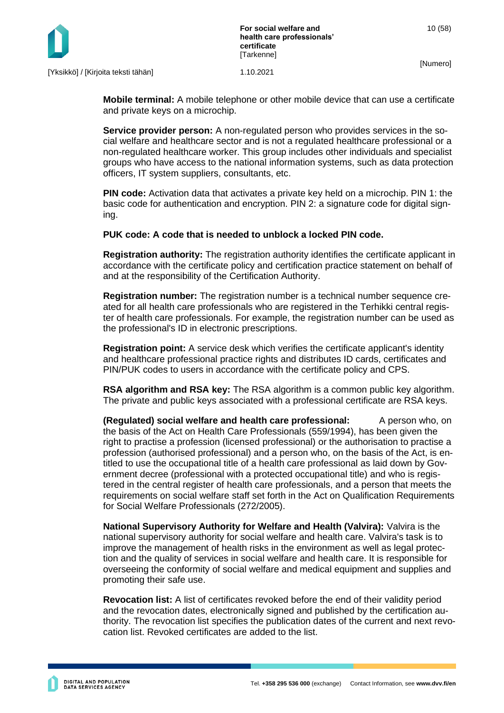

**Mobile terminal:** A mobile telephone or other mobile device that can use a certificate and private keys on a microchip.

**Service provider person:** A non-regulated person who provides services in the social welfare and healthcare sector and is not a regulated healthcare professional or a non-regulated healthcare worker. This group includes other individuals and specialist groups who have access to the national information systems, such as data protection officers, IT system suppliers, consultants, etc.

**PIN code:** Activation data that activates a private key held on a microchip. PIN 1: the basic code for authentication and encryption. PIN 2: a signature code for digital signing.

**PUK code: A code that is needed to unblock a locked PIN code.**

**Registration authority:** The registration authority identifies the certificate applicant in accordance with the certificate policy and certification practice statement on behalf of and at the responsibility of the Certification Authority.

**Registration number:** The registration number is a technical number sequence created for all health care professionals who are registered in the Terhikki central register of health care professionals. For example, the registration number can be used as the professional's ID in electronic prescriptions.

**Registration point:** A service desk which verifies the certificate applicant's identity and healthcare professional practice rights and distributes ID cards, certificates and PIN/PUK codes to users in accordance with the certificate policy and CPS.

**RSA algorithm and RSA key:** The RSA algorithm is a common public key algorithm. The private and public keys associated with a professional certificate are RSA keys.

**(Regulated) social welfare and health care professional:** A person who, on the basis of the Act on Health Care Professionals (559/1994), has been given the right to practise a profession (licensed professional) or the authorisation to practise a profession (authorised professional) and a person who, on the basis of the Act, is entitled to use the occupational title of a health care professional as laid down by Government decree (professional with a protected occupational title) and who is registered in the central register of health care professionals, and a person that meets the requirements on social welfare staff set forth in the Act on Qualification Requirements for Social Welfare Professionals (272/2005).

**National Supervisory Authority for Welfare and Health (Valvira):** Valvira is the national supervisory authority for social welfare and health care. Valvira's task is to improve the management of health risks in the environment as well as legal protection and the quality of services in social welfare and health care. It is responsible for overseeing the conformity of social welfare and medical equipment and supplies and promoting their safe use.

**Revocation list:** A list of certificates revoked before the end of their validity period and the revocation dates, electronically signed and published by the certification authority. The revocation list specifies the publication dates of the current and next revocation list. Revoked certificates are added to the list.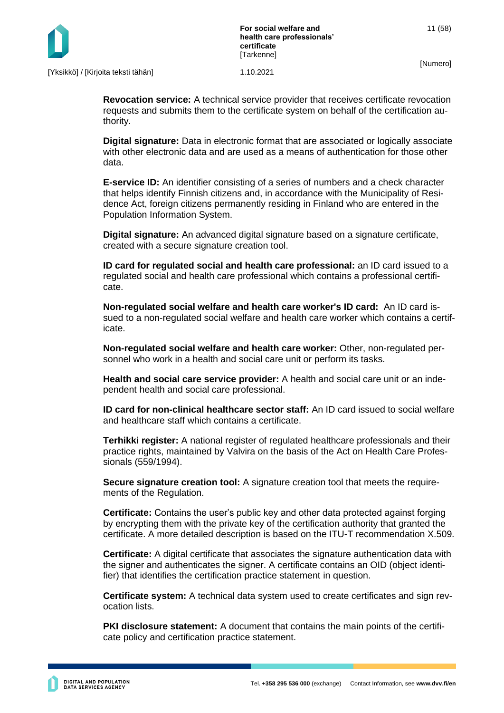

**Revocation service:** A technical service provider that receives certificate revocation requests and submits them to the certificate system on behalf of the certification authority.

**Digital signature:** Data in electronic format that are associated or logically associate with other electronic data and are used as a means of authentication for those other data.

**E-service ID:** An identifier consisting of a series of numbers and a check character that helps identify Finnish citizens and, in accordance with the Municipality of Residence Act, foreign citizens permanently residing in Finland who are entered in the Population Information System.

**Digital signature:** An advanced digital signature based on a signature certificate, created with a secure signature creation tool.

**ID card for regulated social and health care professional:** an ID card issued to a regulated social and health care professional which contains a professional certificate.

**Non-regulated social welfare and health care worker's ID card:** An ID card issued to a non-regulated social welfare and health care worker which contains a certificate.

**Non-regulated social welfare and health care worker:** Other, non-regulated personnel who work in a health and social care unit or perform its tasks.

**Health and social care service provider:** A health and social care unit or an independent health and social care professional.

**ID card for non-clinical healthcare sector staff:** An ID card issued to social welfare and healthcare staff which contains a certificate.

**Terhikki register:** A national register of regulated healthcare professionals and their practice rights, maintained by Valvira on the basis of the Act on Health Care Professionals (559/1994).

**Secure signature creation tool:** A signature creation tool that meets the requirements of the Regulation.

**Certificate:** Contains the user's public key and other data protected against forging by encrypting them with the private key of the certification authority that granted the certificate. A more detailed description is based on the ITU-T recommendation X.509.

**Certificate:** A digital certificate that associates the signature authentication data with the signer and authenticates the signer. A certificate contains an OID (object identifier) that identifies the certification practice statement in question.

**Certificate system:** A technical data system used to create certificates and sign revocation lists.

**PKI disclosure statement:** A document that contains the main points of the certificate policy and certification practice statement.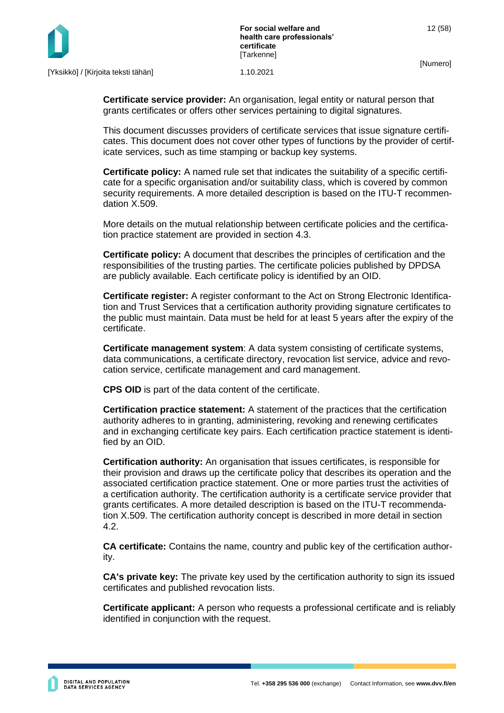

[Yksikkö] / [Kirjoita teksti tähän] 1.10.2021

**Certificate service provider:** An organisation, legal entity or natural person that grants certificates or offers other services pertaining to digital signatures.

This document discusses providers of certificate services that issue signature certificates. This document does not cover other types of functions by the provider of certificate services, such as time stamping or backup key systems.

**Certificate policy:** A named rule set that indicates the suitability of a specific certificate for a specific organisation and/or suitability class, which is covered by common security requirements. A more detailed description is based on the ITU-T recommendation X.509.

More details on the mutual relationship between certificate policies and the certification practice statement are provided in section 4.3.

**Certificate policy:** A document that describes the principles of certification and the responsibilities of the trusting parties. The certificate policies published by DPDSA are publicly available. Each certificate policy is identified by an OID.

**Certificate register:** A register conformant to the Act on Strong Electronic Identification and Trust Services that a certification authority providing signature certificates to the public must maintain. Data must be held for at least 5 years after the expiry of the certificate.

**Certificate management system**: A data system consisting of certificate systems, data communications, a certificate directory, revocation list service, advice and revocation service, certificate management and card management.

**CPS OID** is part of the data content of the certificate.

**Certification practice statement:** A statement of the practices that the certification authority adheres to in granting, administering, revoking and renewing certificates and in exchanging certificate key pairs. Each certification practice statement is identified by an OID.

**Certification authority:** An organisation that issues certificates, is responsible for their provision and draws up the certificate policy that describes its operation and the associated certification practice statement. One or more parties trust the activities of a certification authority. The certification authority is a certificate service provider that grants certificates. A more detailed description is based on the ITU-T recommendation X.509. The certification authority concept is described in more detail in section 4.2.

**CA certificate:** Contains the name, country and public key of the certification authority.

**CA's private key:** The private key used by the certification authority to sign its issued certificates and published revocation lists.

**Certificate applicant:** A person who requests a professional certificate and is reliably identified in conjunction with the request.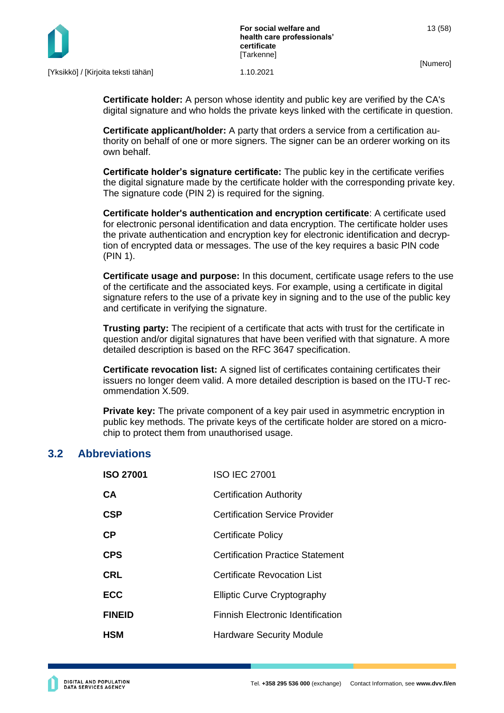



**Certificate holder:** A person whose identity and public key are verified by the CA's digital signature and who holds the private keys linked with the certificate in question.

**Certificate applicant/holder:** A party that orders a service from a certification authority on behalf of one or more signers. The signer can be an orderer working on its own behalf.

**Certificate holder's signature certificate:** The public key in the certificate verifies the digital signature made by the certificate holder with the corresponding private key. The signature code (PIN 2) is required for the signing.

**Certificate holder's authentication and encryption certificate**: A certificate used for electronic personal identification and data encryption. The certificate holder uses the private authentication and encryption key for electronic identification and decryption of encrypted data or messages. The use of the key requires a basic PIN code (PIN 1).

**Certificate usage and purpose:** In this document, certificate usage refers to the use of the certificate and the associated keys. For example, using a certificate in digital signature refers to the use of a private key in signing and to the use of the public key and certificate in verifying the signature.

**Trusting party:** The recipient of a certificate that acts with trust for the certificate in question and/or digital signatures that have been verified with that signature. A more detailed description is based on the RFC 3647 specification.

**Certificate revocation list:** A signed list of certificates containing certificates their issuers no longer deem valid. A more detailed description is based on the ITU-T recommendation X.509.

**Private key:** The private component of a key pair used in asymmetric encryption in public key methods. The private keys of the certificate holder are stored on a microchip to protect them from unauthorised usage.

#### <span id="page-13-0"></span>**3.2 Abbreviations**

| <b>ISO 27001</b> | <b>ISO IEC 27001</b>                     |
|------------------|------------------------------------------|
| <b>CA</b>        | <b>Certification Authority</b>           |
| <b>CSP</b>       | <b>Certification Service Provider</b>    |
| <b>CP</b>        | <b>Certificate Policy</b>                |
| <b>CPS</b>       | <b>Certification Practice Statement</b>  |
| <b>CRL</b>       | Certificate Revocation List              |
| <b>ECC</b>       | <b>Elliptic Curve Cryptography</b>       |
| <b>FINEID</b>    | <b>Finnish Electronic Identification</b> |
| <b>HSM</b>       | <b>Hardware Security Module</b>          |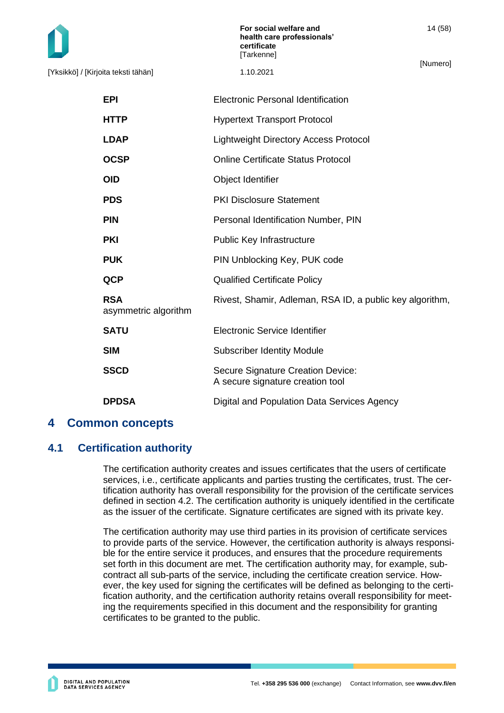[Yksikkö] / [Kirjoita teksti tähän] 1.10.2021

**For social welfare and health care professionals' certificate [Tarkenne]** 

[Numero]

| EPI                                | <b>Electronic Personal Identification</b>                             |
|------------------------------------|-----------------------------------------------------------------------|
| HTTP                               | <b>Hypertext Transport Protocol</b>                                   |
| <b>LDAP</b>                        | <b>Lightweight Directory Access Protocol</b>                          |
| OCSP                               | <b>Online Certificate Status Protocol</b>                             |
| OID                                | Object Identifier                                                     |
| <b>PDS</b>                         | <b>PKI Disclosure Statement</b>                                       |
| <b>PIN</b>                         | Personal Identification Number, PIN                                   |
| PKI                                | Public Key Infrastructure                                             |
| <b>PUK</b>                         | PIN Unblocking Key, PUK code                                          |
| QCP                                | <b>Qualified Certificate Policy</b>                                   |
| <b>RSA</b><br>asymmetric algorithm | Rivest, Shamir, Adleman, RSA ID, a public key algorithm,              |
| <b>SATU</b>                        | Electronic Service Identifier                                         |
| SIM                                | <b>Subscriber Identity Module</b>                                     |
| SSCD                               | Secure Signature Creation Device:<br>A secure signature creation tool |
| DPDSA                              | Digital and Population Data Services Agency                           |
|                                    |                                                                       |

## <span id="page-14-0"></span>**4 Common concepts**

## <span id="page-14-1"></span>**4.1 Certification authority**

The certification authority creates and issues certificates that the users of certificate services, i.e., certificate applicants and parties trusting the certificates, trust. The certification authority has overall responsibility for the provision of the certificate services defined in section 4.2. The certification authority is uniquely identified in the certificate as the issuer of the certificate. Signature certificates are signed with its private key.

The certification authority may use third parties in its provision of certificate services to provide parts of the service. However, the certification authority is always responsible for the entire service it produces, and ensures that the procedure requirements set forth in this document are met. The certification authority may, for example, subcontract all sub-parts of the service, including the certificate creation service. However, the key used for signing the certificates will be defined as belonging to the certification authority, and the certification authority retains overall responsibility for meeting the requirements specified in this document and the responsibility for granting certificates to be granted to the public.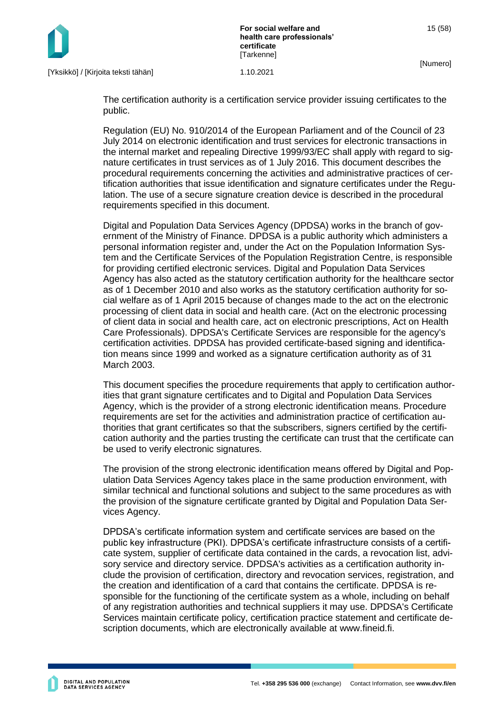

**For social welfare and health care professionals' certificate [Tarkenne]** 

The certification authority is a certification service provider issuing certificates to the public.

Regulation (EU) No. 910/2014 of the European Parliament and of the Council of 23 July 2014 on electronic identification and trust services for electronic transactions in the internal market and repealing Directive 1999/93/EC shall apply with regard to signature certificates in trust services as of 1 July 2016. This document describes the procedural requirements concerning the activities and administrative practices of certification authorities that issue identification and signature certificates under the Regulation. The use of a secure signature creation device is described in the procedural requirements specified in this document.

Digital and Population Data Services Agency (DPDSA) works in the branch of government of the Ministry of Finance. DPDSA is a public authority which administers a personal information register and, under the Act on the Population Information System and the Certificate Services of the Population Registration Centre, is responsible for providing certified electronic services. Digital and Population Data Services Agency has also acted as the statutory certification authority for the healthcare sector as of 1 December 2010 and also works as the statutory certification authority for social welfare as of 1 April 2015 because of changes made to the act on the electronic processing of client data in social and health care. (Act on the electronic processing of client data in social and health care, act on electronic prescriptions, Act on Health Care Professionals). DPDSA's Certificate Services are responsible for the agency's certification activities. DPDSA has provided certificate-based signing and identification means since 1999 and worked as a signature certification authority as of 31 March 2003.

This document specifies the procedure requirements that apply to certification authorities that grant signature certificates and to Digital and Population Data Services Agency, which is the provider of a strong electronic identification means. Procedure requirements are set for the activities and administration practice of certification authorities that grant certificates so that the subscribers, signers certified by the certification authority and the parties trusting the certificate can trust that the certificate can be used to verify electronic signatures.

The provision of the strong electronic identification means offered by Digital and Population Data Services Agency takes place in the same production environment, with similar technical and functional solutions and subject to the same procedures as with the provision of the signature certificate granted by Digital and Population Data Services Agency.

DPDSA's certificate information system and certificate services are based on the public key infrastructure (PKI). DPDSA's certificate infrastructure consists of a certificate system, supplier of certificate data contained in the cards, a revocation list, advisory service and directory service. DPDSA's activities as a certification authority include the provision of certification, directory and revocation services, registration, and the creation and identification of a card that contains the certificate. DPDSA is responsible for the functioning of the certificate system as a whole, including on behalf of any registration authorities and technical suppliers it may use. DPDSA's Certificate Services maintain certificate policy, certification practice statement and certificate description documents, which are electronically available at www.fineid.fi.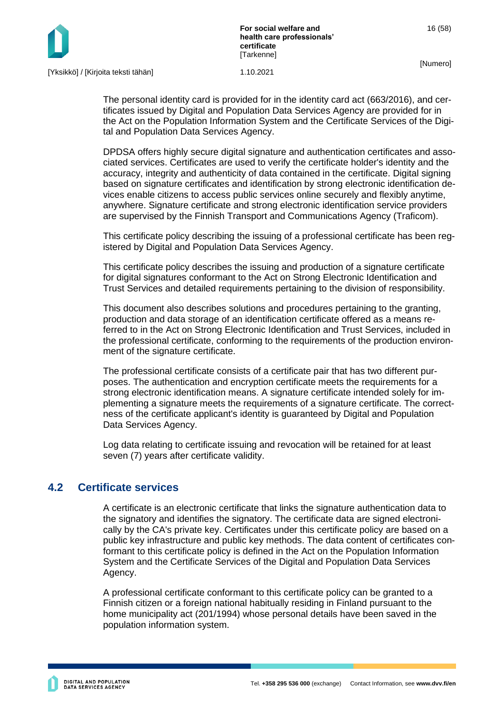The personal identity card is provided for in the identity card act (663/2016), and certificates issued by Digital and Population Data Services Agency are provided for in the Act on the Population Information System and the Certificate Services of the Digital and Population Data Services Agency.

DPDSA offers highly secure digital signature and authentication certificates and associated services. Certificates are used to verify the certificate holder's identity and the accuracy, integrity and authenticity of data contained in the certificate. Digital signing based on signature certificates and identification by strong electronic identification devices enable citizens to access public services online securely and flexibly anytime, anywhere. Signature certificate and strong electronic identification service providers are supervised by the Finnish Transport and Communications Agency (Traficom).

This certificate policy describing the issuing of a professional certificate has been registered by Digital and Population Data Services Agency.

This certificate policy describes the issuing and production of a signature certificate for digital signatures conformant to the Act on Strong Electronic Identification and Trust Services and detailed requirements pertaining to the division of responsibility.

This document also describes solutions and procedures pertaining to the granting, production and data storage of an identification certificate offered as a means referred to in the Act on Strong Electronic Identification and Trust Services, included in the professional certificate, conforming to the requirements of the production environment of the signature certificate.

The professional certificate consists of a certificate pair that has two different purposes. The authentication and encryption certificate meets the requirements for a strong electronic identification means. A signature certificate intended solely for implementing a signature meets the requirements of a signature certificate. The correctness of the certificate applicant's identity is guaranteed by Digital and Population Data Services Agency.

Log data relating to certificate issuing and revocation will be retained for at least seven (7) years after certificate validity.

## <span id="page-16-0"></span>**4.2 Certificate services**

A certificate is an electronic certificate that links the signature authentication data to the signatory and identifies the signatory. The certificate data are signed electronically by the CA's private key. Certificates under this certificate policy are based on a public key infrastructure and public key methods. The data content of certificates conformant to this certificate policy is defined in the Act on the Population Information System and the Certificate Services of the Digital and Population Data Services Agency.

A professional certificate conformant to this certificate policy can be granted to a Finnish citizen or a foreign national habitually residing in Finland pursuant to the home municipality act (201/1994) whose personal details have been saved in the population information system.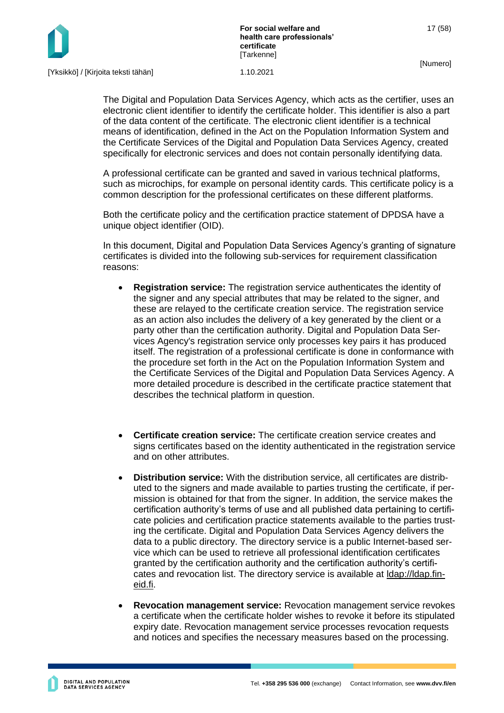

The Digital and Population Data Services Agency, which acts as the certifier, uses an electronic client identifier to identify the certificate holder. This identifier is also a part of the data content of the certificate. The electronic client identifier is a technical means of identification, defined in the Act on the Population Information System and the Certificate Services of the Digital and Population Data Services Agency, created specifically for electronic services and does not contain personally identifying data.

A professional certificate can be granted and saved in various technical platforms, such as microchips, for example on personal identity cards. This certificate policy is a common description for the professional certificates on these different platforms.

Both the certificate policy and the certification practice statement of DPDSA have a unique object identifier (OID).

In this document, Digital and Population Data Services Agency's granting of signature certificates is divided into the following sub-services for requirement classification reasons:

- **Registration service:** The registration service authenticates the identity of the signer and any special attributes that may be related to the signer, and these are relayed to the certificate creation service. The registration service as an action also includes the delivery of a key generated by the client or a party other than the certification authority. Digital and Population Data Services Agency's registration service only processes key pairs it has produced itself. The registration of a professional certificate is done in conformance with the procedure set forth in the Act on the Population Information System and the Certificate Services of the Digital and Population Data Services Agency. A more detailed procedure is described in the certificate practice statement that describes the technical platform in question.
- **Certificate creation service:** The certificate creation service creates and signs certificates based on the identity authenticated in the registration service and on other attributes.
- **Distribution service:** With the distribution service, all certificates are distributed to the signers and made available to parties trusting the certificate, if permission is obtained for that from the signer. In addition, the service makes the certification authority's terms of use and all published data pertaining to certificate policies and certification practice statements available to the parties trusting the certificate. Digital and Population Data Services Agency delivers the data to a public directory. The directory service is a public Internet-based service which can be used to retrieve all professional identification certificates granted by the certification authority and the certification authority's certificates and revocation list. The directory service is available at [ldap://ldap.fin](ldap://ldap.fineid.fi/)[eid.fi.](ldap://ldap.fineid.fi/)
- **Revocation management service:** Revocation management service revokes a certificate when the certificate holder wishes to revoke it before its stipulated expiry date. Revocation management service processes revocation requests and notices and specifies the necessary measures based on the processing.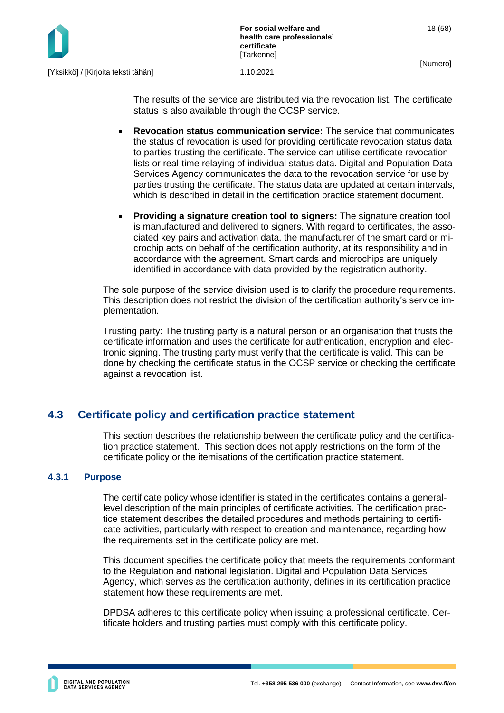

The results of the service are distributed via the revocation list. The certificate status is also available through the OCSP service.

- **Revocation status communication service:** The service that communicates the status of revocation is used for providing certificate revocation status data to parties trusting the certificate. The service can utilise certificate revocation lists or real-time relaying of individual status data. Digital and Population Data Services Agency communicates the data to the revocation service for use by parties trusting the certificate. The status data are updated at certain intervals, which is described in detail in the certification practice statement document.
- **Providing a signature creation tool to signers:** The signature creation tool is manufactured and delivered to signers. With regard to certificates, the associated key pairs and activation data, the manufacturer of the smart card or microchip acts on behalf of the certification authority, at its responsibility and in accordance with the agreement. Smart cards and microchips are uniquely identified in accordance with data provided by the registration authority.

The sole purpose of the service division used is to clarify the procedure requirements. This description does not restrict the division of the certification authority's service implementation.

Trusting party: The trusting party is a natural person or an organisation that trusts the certificate information and uses the certificate for authentication, encryption and electronic signing. The trusting party must verify that the certificate is valid. This can be done by checking the certificate status in the OCSP service or checking the certificate against a revocation list.

## <span id="page-18-0"></span>**4.3 Certificate policy and certification practice statement**

This section describes the relationship between the certificate policy and the certification practice statement. This section does not apply restrictions on the form of the certificate policy or the itemisations of the certification practice statement.

#### <span id="page-18-1"></span>**4.3.1 Purpose**

The certificate policy whose identifier is stated in the certificates contains a generallevel description of the main principles of certificate activities. The certification practice statement describes the detailed procedures and methods pertaining to certificate activities, particularly with respect to creation and maintenance, regarding how the requirements set in the certificate policy are met.

This document specifies the certificate policy that meets the requirements conformant to the Regulation and national legislation. Digital and Population Data Services Agency, which serves as the certification authority, defines in its certification practice statement how these requirements are met.

DPDSA adheres to this certificate policy when issuing a professional certificate. Certificate holders and trusting parties must comply with this certificate policy.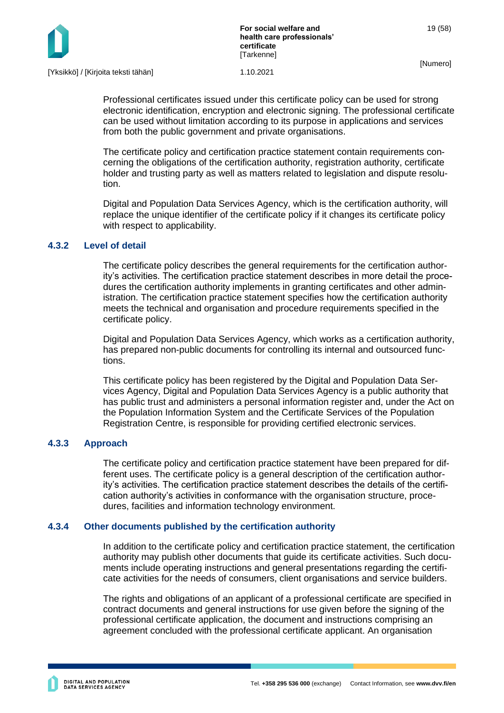

Professional certificates issued under this certificate policy can be used for strong electronic identification, encryption and electronic signing. The professional certificate can be used without limitation according to its purpose in applications and services from both the public government and private organisations.

The certificate policy and certification practice statement contain requirements concerning the obligations of the certification authority, registration authority, certificate holder and trusting party as well as matters related to legislation and dispute resolution.

Digital and Population Data Services Agency, which is the certification authority, will replace the unique identifier of the certificate policy if it changes its certificate policy with respect to applicability.

#### <span id="page-19-0"></span>**4.3.2 Level of detail**

The certificate policy describes the general requirements for the certification authority's activities. The certification practice statement describes in more detail the procedures the certification authority implements in granting certificates and other administration. The certification practice statement specifies how the certification authority meets the technical and organisation and procedure requirements specified in the certificate policy.

Digital and Population Data Services Agency, which works as a certification authority, has prepared non-public documents for controlling its internal and outsourced functions.

This certificate policy has been registered by the Digital and Population Data Services Agency, Digital and Population Data Services Agency is a public authority that has public trust and administers a personal information register and, under the Act on the Population Information System and the Certificate Services of the Population Registration Centre, is responsible for providing certified electronic services.

#### <span id="page-19-1"></span>**4.3.3 Approach**

The certificate policy and certification practice statement have been prepared for different uses. The certificate policy is a general description of the certification authority's activities. The certification practice statement describes the details of the certification authority's activities in conformance with the organisation structure, procedures, facilities and information technology environment.

#### <span id="page-19-2"></span>**4.3.4 Other documents published by the certification authority**

In addition to the certificate policy and certification practice statement, the certification authority may publish other documents that guide its certificate activities. Such documents include operating instructions and general presentations regarding the certificate activities for the needs of consumers, client organisations and service builders.

The rights and obligations of an applicant of a professional certificate are specified in contract documents and general instructions for use given before the signing of the professional certificate application, the document and instructions comprising an agreement concluded with the professional certificate applicant. An organisation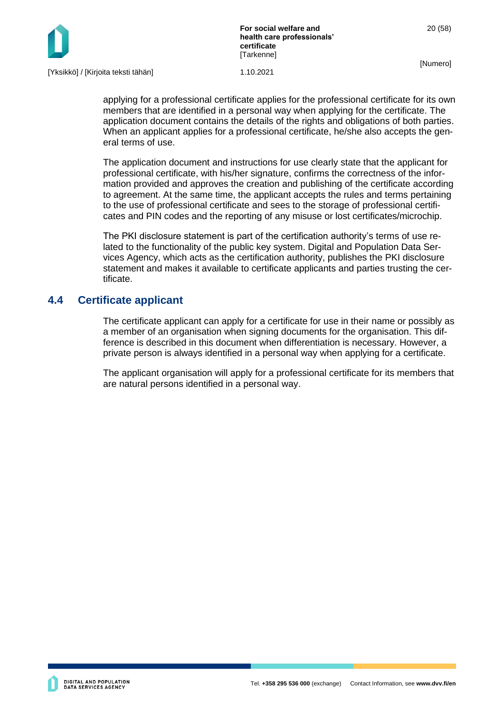

applying for a professional certificate applies for the professional certificate for its own members that are identified in a personal way when applying for the certificate. The application document contains the details of the rights and obligations of both parties. When an applicant applies for a professional certificate, he/she also accepts the general terms of use.

The application document and instructions for use clearly state that the applicant for professional certificate, with his/her signature, confirms the correctness of the information provided and approves the creation and publishing of the certificate according to agreement. At the same time, the applicant accepts the rules and terms pertaining to the use of professional certificate and sees to the storage of professional certificates and PIN codes and the reporting of any misuse or lost certificates/microchip.

The PKI disclosure statement is part of the certification authority's terms of use related to the functionality of the public key system. Digital and Population Data Services Agency, which acts as the certification authority, publishes the PKI disclosure statement and makes it available to certificate applicants and parties trusting the certificate.

## <span id="page-20-0"></span>**4.4 Certificate applicant**

The certificate applicant can apply for a certificate for use in their name or possibly as a member of an organisation when signing documents for the organisation. This difference is described in this document when differentiation is necessary. However, a private person is always identified in a personal way when applying for a certificate.

The applicant organisation will apply for a professional certificate for its members that are natural persons identified in a personal way.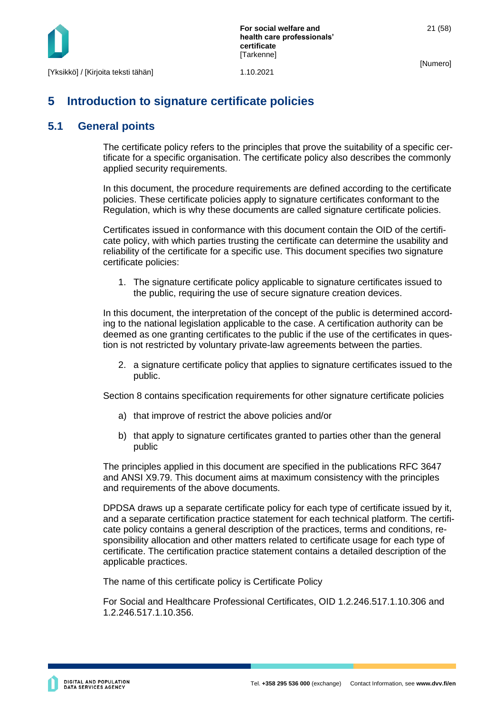

## <span id="page-21-0"></span>**5 Introduction to signature certificate policies**

## <span id="page-21-1"></span>**5.1 General points**

The certificate policy refers to the principles that prove the suitability of a specific certificate for a specific organisation. The certificate policy also describes the commonly applied security requirements.

In this document, the procedure requirements are defined according to the certificate policies. These certificate policies apply to signature certificates conformant to the Regulation, which is why these documents are called signature certificate policies.

Certificates issued in conformance with this document contain the OID of the certificate policy, with which parties trusting the certificate can determine the usability and reliability of the certificate for a specific use. This document specifies two signature certificate policies:

1. The signature certificate policy applicable to signature certificates issued to the public, requiring the use of secure signature creation devices.

In this document, the interpretation of the concept of the public is determined according to the national legislation applicable to the case. A certification authority can be deemed as one granting certificates to the public if the use of the certificates in question is not restricted by voluntary private-law agreements between the parties.

2. a signature certificate policy that applies to signature certificates issued to the public.

Section 8 contains specification requirements for other signature certificate policies

- a) that improve of restrict the above policies and/or
- b) that apply to signature certificates granted to parties other than the general public

The principles applied in this document are specified in the publications RFC 3647 and ANSI X9.79. This document aims at maximum consistency with the principles and requirements of the above documents.

DPDSA draws up a separate certificate policy for each type of certificate issued by it, and a separate certification practice statement for each technical platform. The certificate policy contains a general description of the practices, terms and conditions, responsibility allocation and other matters related to certificate usage for each type of certificate. The certification practice statement contains a detailed description of the applicable practices.

The name of this certificate policy is Certificate Policy

For Social and Healthcare Professional Certificates, OID 1.2.246.517.1.10.306 and 1.2.246.517.1.10.356.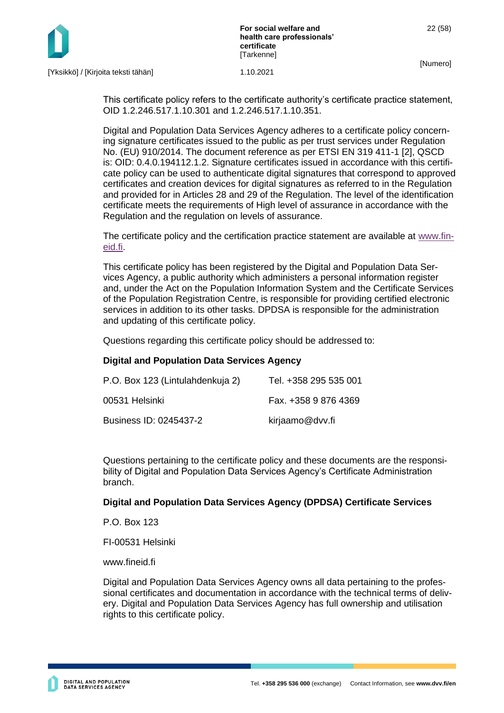

[Yksikkö] / [Kirjoita teksti tähän] 1.10.2021

This certificate policy refers to the certificate authority's certificate practice statement, OID 1.2.246.517.1.10.301 and 1.2.246.517.1.10.351.

Digital and Population Data Services Agency adheres to a certificate policy concerning signature certificates issued to the public as per trust services under Regulation No. (EU) 910/2014. The document reference as per ETSI EN 319 411-1 [2], QSCD is: OID: 0.4.0.194112.1.2. Signature certificates issued in accordance with this certificate policy can be used to authenticate digital signatures that correspond to approved certificates and creation devices for digital signatures as referred to in the Regulation and provided for in Articles 28 and 29 of the Regulation. The level of the identification certificate meets the requirements of High level of assurance in accordance with the Regulation and the regulation on levels of assurance.

The certificate policy and the certification practice statement are available at [www.fin](http://www.fineid.fi/)[eid.fi.](http://www.fineid.fi/)

This certificate policy has been registered by the Digital and Population Data Services Agency, a public authority which administers a personal information register and, under the Act on the Population Information System and the Certificate Services of the Population Registration Centre, is responsible for providing certified electronic services in addition to its other tasks. DPDSA is responsible for the administration and updating of this certificate policy.

Questions regarding this certificate policy should be addressed to:

#### **Digital and Population Data Services Agency**

| P.O. Box 123 (Lintulahdenkuja 2) | Tel. +358 295 535 001 |
|----------------------------------|-----------------------|
| 00531 Helsinki                   | Fax. +358 9 876 4369  |
| Business ID: 0245437-2           | kirjaamo@dvv.fi       |

Questions pertaining to the certificate policy and these documents are the responsibility of Digital and Population Data Services Agency's Certificate Administration branch.

#### **Digital and Population Data Services Agency (DPDSA) Certificate Services**

P.O. Box 123

FI-00531 Helsinki

www.fineid.fi

Digital and Population Data Services Agency owns all data pertaining to the professional certificates and documentation in accordance with the technical terms of delivery. Digital and Population Data Services Agency has full ownership and utilisation rights to this certificate policy.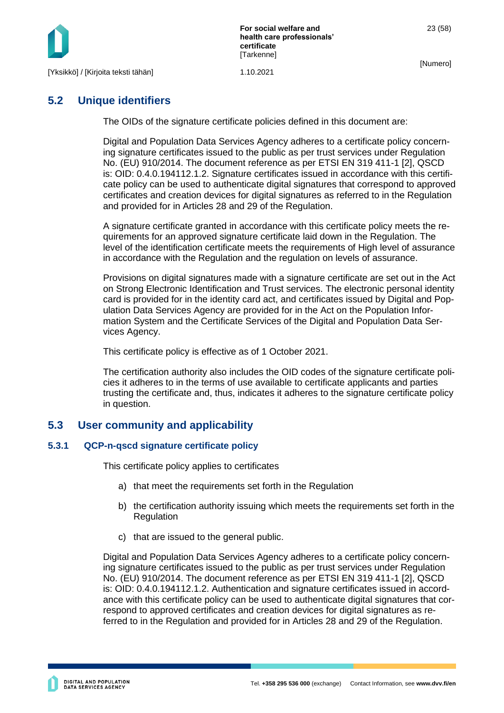

23 (58)

## <span id="page-23-0"></span>**5.2 Unique identifiers**

The OIDs of the signature certificate policies defined in this document are:

Digital and Population Data Services Agency adheres to a certificate policy concerning signature certificates issued to the public as per trust services under Regulation No. (EU) 910/2014. The document reference as per ETSI EN 319 411-1 [2], QSCD is: OID: 0.4.0.194112.1.2. Signature certificates issued in accordance with this certificate policy can be used to authenticate digital signatures that correspond to approved certificates and creation devices for digital signatures as referred to in the Regulation and provided for in Articles 28 and 29 of the Regulation.

A signature certificate granted in accordance with this certificate policy meets the requirements for an approved signature certificate laid down in the Regulation. The level of the identification certificate meets the requirements of High level of assurance in accordance with the Regulation and the regulation on levels of assurance.

Provisions on digital signatures made with a signature certificate are set out in the Act on Strong Electronic Identification and Trust services. The electronic personal identity card is provided for in the identity card act, and certificates issued by Digital and Population Data Services Agency are provided for in the Act on the Population Information System and the Certificate Services of the Digital and Population Data Services Agency.

This certificate policy is effective as of 1 October 2021.

The certification authority also includes the OID codes of the signature certificate policies it adheres to in the terms of use available to certificate applicants and parties trusting the certificate and, thus, indicates it adheres to the signature certificate policy in question.

#### <span id="page-23-1"></span>**5.3 User community and applicability**

#### <span id="page-23-2"></span>**5.3.1 QCP-n-qscd signature certificate policy**

This certificate policy applies to certificates

- a) that meet the requirements set forth in the Regulation
- b) the certification authority issuing which meets the requirements set forth in the **Regulation**
- c) that are issued to the general public.

Digital and Population Data Services Agency adheres to a certificate policy concerning signature certificates issued to the public as per trust services under Regulation No. (EU) 910/2014. The document reference as per ETSI EN 319 411-1 [2], QSCD is: OID: 0.4.0.194112.1.2. Authentication and signature certificates issued in accordance with this certificate policy can be used to authenticate digital signatures that correspond to approved certificates and creation devices for digital signatures as referred to in the Regulation and provided for in Articles 28 and 29 of the Regulation.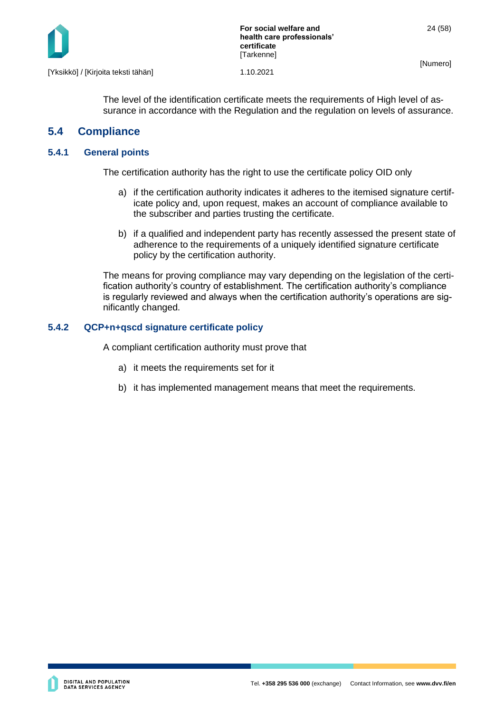

The level of the identification certificate meets the requirements of High level of assurance in accordance with the Regulation and the regulation on levels of assurance.

## <span id="page-24-0"></span>**5.4 Compliance**

#### <span id="page-24-1"></span>**5.4.1 General points**

The certification authority has the right to use the certificate policy OID only

- a) if the certification authority indicates it adheres to the itemised signature certificate policy and, upon request, makes an account of compliance available to the subscriber and parties trusting the certificate.
- b) if a qualified and independent party has recently assessed the present state of adherence to the requirements of a uniquely identified signature certificate policy by the certification authority.

The means for proving compliance may vary depending on the legislation of the certification authority's country of establishment. The certification authority's compliance is regularly reviewed and always when the certification authority's operations are significantly changed.

#### <span id="page-24-2"></span>**5.4.2 QCP+n+qscd signature certificate policy**

A compliant certification authority must prove that

- a) it meets the requirements set for it
- b) it has implemented management means that meet the requirements.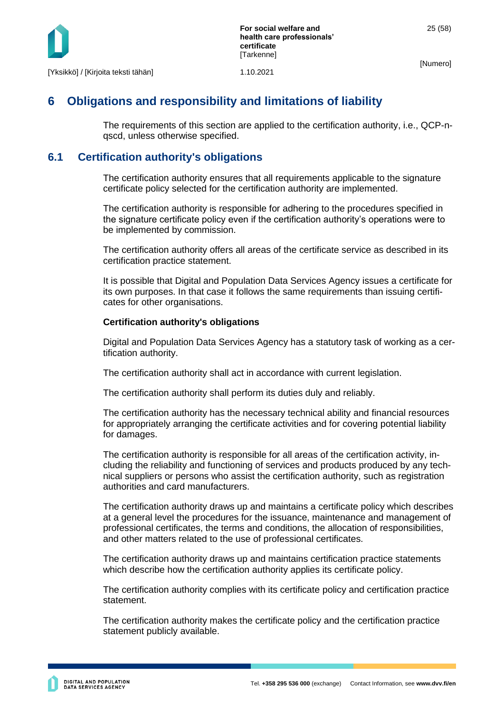

## <span id="page-25-0"></span>**6 Obligations and responsibility and limitations of liability**

The requirements of this section are applied to the certification authority, i.e., QCP-nqscd, unless otherwise specified.

## <span id="page-25-1"></span>**6.1 Certification authority's obligations**

The certification authority ensures that all requirements applicable to the signature certificate policy selected for the certification authority are implemented.

The certification authority is responsible for adhering to the procedures specified in the signature certificate policy even if the certification authority's operations were to be implemented by commission.

The certification authority offers all areas of the certificate service as described in its certification practice statement.

It is possible that Digital and Population Data Services Agency issues a certificate for its own purposes. In that case it follows the same requirements than issuing certificates for other organisations.

#### **Certification authority's obligations**

Digital and Population Data Services Agency has a statutory task of working as a certification authority.

The certification authority shall act in accordance with current legislation.

The certification authority shall perform its duties duly and reliably.

The certification authority has the necessary technical ability and financial resources for appropriately arranging the certificate activities and for covering potential liability for damages.

The certification authority is responsible for all areas of the certification activity, including the reliability and functioning of services and products produced by any technical suppliers or persons who assist the certification authority, such as registration authorities and card manufacturers.

The certification authority draws up and maintains a certificate policy which describes at a general level the procedures for the issuance, maintenance and management of professional certificates, the terms and conditions, the allocation of responsibilities, and other matters related to the use of professional certificates.

The certification authority draws up and maintains certification practice statements which describe how the certification authority applies its certificate policy.

The certification authority complies with its certificate policy and certification practice statement.

The certification authority makes the certificate policy and the certification practice statement publicly available.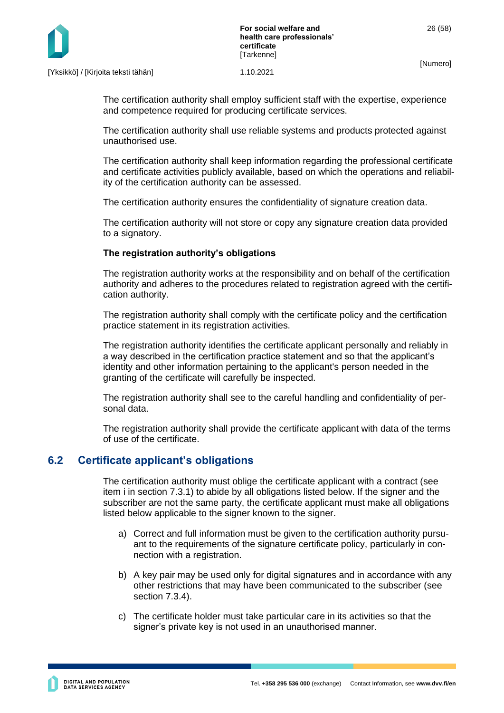

The certification authority shall employ sufficient staff with the expertise, experience and competence required for producing certificate services.

The certification authority shall use reliable systems and products protected against unauthorised use.

The certification authority shall keep information regarding the professional certificate and certificate activities publicly available, based on which the operations and reliability of the certification authority can be assessed.

The certification authority ensures the confidentiality of signature creation data.

The certification authority will not store or copy any signature creation data provided to a signatory.

#### **The registration authority's obligations**

The registration authority works at the responsibility and on behalf of the certification authority and adheres to the procedures related to registration agreed with the certification authority.

The registration authority shall comply with the certificate policy and the certification practice statement in its registration activities.

The registration authority identifies the certificate applicant personally and reliably in a way described in the certification practice statement and so that the applicant's identity and other information pertaining to the applicant's person needed in the granting of the certificate will carefully be inspected.

The registration authority shall see to the careful handling and confidentiality of personal data.

The registration authority shall provide the certificate applicant with data of the terms of use of the certificate.

## <span id="page-26-0"></span>**6.2 Certificate applicant's obligations**

The certification authority must oblige the certificate applicant with a contract (see item i in section 7.3.1) to abide by all obligations listed below. If the signer and the subscriber are not the same party, the certificate applicant must make all obligations listed below applicable to the signer known to the signer.

- a) Correct and full information must be given to the certification authority pursuant to the requirements of the signature certificate policy, particularly in connection with a registration.
- b) A key pair may be used only for digital signatures and in accordance with any other restrictions that may have been communicated to the subscriber (see section 7.3.4).
- c) The certificate holder must take particular care in its activities so that the signer's private key is not used in an unauthorised manner.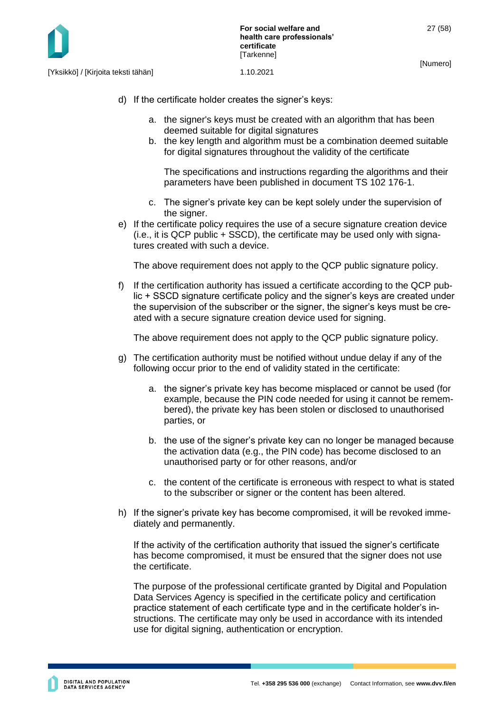- d) If the certificate holder creates the signer's keys:
	- a. the signer's keys must be created with an algorithm that has been deemed suitable for digital signatures
	- b. the key length and algorithm must be a combination deemed suitable for digital signatures throughout the validity of the certificate

The specifications and instructions regarding the algorithms and their parameters have been published in document TS 102 176-1.

- c. The signer's private key can be kept solely under the supervision of the signer.
- e) If the certificate policy requires the use of a secure signature creation device (i.e., it is QCP public + SSCD), the certificate may be used only with signatures created with such a device.

The above requirement does not apply to the QCP public signature policy.

f) If the certification authority has issued a certificate according to the QCP public + SSCD signature certificate policy and the signer's keys are created under the supervision of the subscriber or the signer, the signer's keys must be created with a secure signature creation device used for signing.

The above requirement does not apply to the QCP public signature policy.

- g) The certification authority must be notified without undue delay if any of the following occur prior to the end of validity stated in the certificate:
	- a. the signer's private key has become misplaced or cannot be used (for example, because the PIN code needed for using it cannot be remembered), the private key has been stolen or disclosed to unauthorised parties, or
	- b. the use of the signer's private key can no longer be managed because the activation data (e.g., the PIN code) has become disclosed to an unauthorised party or for other reasons, and/or
	- c. the content of the certificate is erroneous with respect to what is stated to the subscriber or signer or the content has been altered.
- h) If the signer's private key has become compromised, it will be revoked immediately and permanently.

If the activity of the certification authority that issued the signer's certificate has become compromised, it must be ensured that the signer does not use the certificate.

The purpose of the professional certificate granted by Digital and Population Data Services Agency is specified in the certificate policy and certification practice statement of each certificate type and in the certificate holder's instructions. The certificate may only be used in accordance with its intended use for digital signing, authentication or encryption.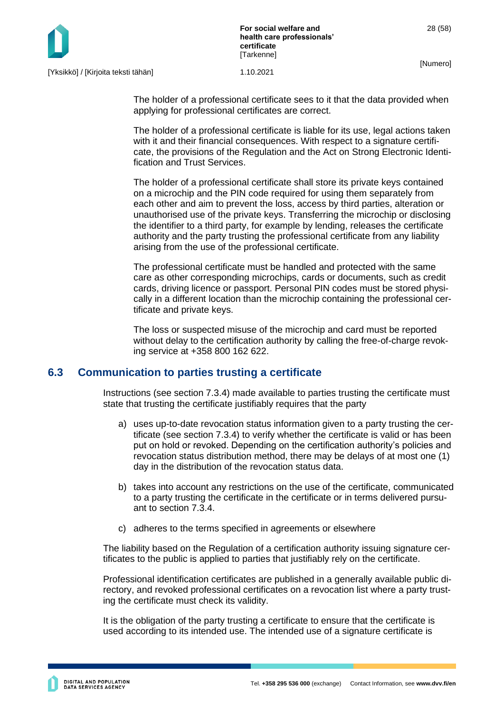The holder of a professional certificate sees to it that the data provided when applying for professional certificates are correct.

The holder of a professional certificate is liable for its use, legal actions taken with it and their financial consequences. With respect to a signature certificate, the provisions of the Regulation and the Act on Strong Electronic Identification and Trust Services.

The holder of a professional certificate shall store its private keys contained on a microchip and the PIN code required for using them separately from each other and aim to prevent the loss, access by third parties, alteration or unauthorised use of the private keys. Transferring the microchip or disclosing the identifier to a third party, for example by lending, releases the certificate authority and the party trusting the professional certificate from any liability arising from the use of the professional certificate.

The professional certificate must be handled and protected with the same care as other corresponding microchips, cards or documents, such as credit cards, driving licence or passport. Personal PIN codes must be stored physically in a different location than the microchip containing the professional certificate and private keys.

The loss or suspected misuse of the microchip and card must be reported without delay to the certification authority by calling the free-of-charge revoking service at +358 800 162 622.

## <span id="page-28-0"></span>**6.3 Communication to parties trusting a certificate**

Instructions (see section 7.3.4) made available to parties trusting the certificate must state that trusting the certificate justifiably requires that the party

- a) uses up-to-date revocation status information given to a party trusting the certificate (see section 7.3.4) to verify whether the certificate is valid or has been put on hold or revoked. Depending on the certification authority's policies and revocation status distribution method, there may be delays of at most one (1) day in the distribution of the revocation status data.
- b) takes into account any restrictions on the use of the certificate, communicated to a party trusting the certificate in the certificate or in terms delivered pursuant to section 7.3.4.
- c) adheres to the terms specified in agreements or elsewhere

The liability based on the Regulation of a certification authority issuing signature certificates to the public is applied to parties that justifiably rely on the certificate.

Professional identification certificates are published in a generally available public directory, and revoked professional certificates on a revocation list where a party trusting the certificate must check its validity.

It is the obligation of the party trusting a certificate to ensure that the certificate is used according to its intended use. The intended use of a signature certificate is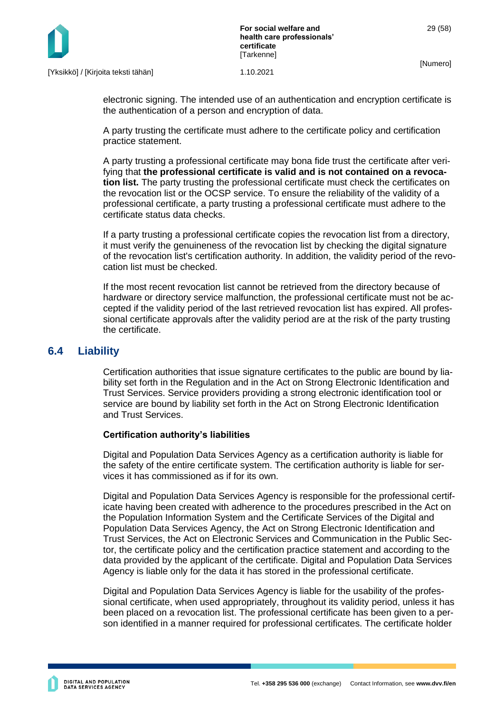

electronic signing. The intended use of an authentication and encryption certificate is the authentication of a person and encryption of data.

A party trusting the certificate must adhere to the certificate policy and certification practice statement.

A party trusting a professional certificate may bona fide trust the certificate after verifying that **the professional certificate is valid and is not contained on a revocation list.** The party trusting the professional certificate must check the certificates on the revocation list or the OCSP service. To ensure the reliability of the validity of a professional certificate, a party trusting a professional certificate must adhere to the certificate status data checks.

If a party trusting a professional certificate copies the revocation list from a directory, it must verify the genuineness of the revocation list by checking the digital signature of the revocation list's certification authority. In addition, the validity period of the revocation list must be checked.

If the most recent revocation list cannot be retrieved from the directory because of hardware or directory service malfunction, the professional certificate must not be accepted if the validity period of the last retrieved revocation list has expired. All professional certificate approvals after the validity period are at the risk of the party trusting the certificate.

#### <span id="page-29-0"></span>**6.4 Liability**

Certification authorities that issue signature certificates to the public are bound by liability set forth in the Regulation and in the Act on Strong Electronic Identification and Trust Services. Service providers providing a strong electronic identification tool or service are bound by liability set forth in the Act on Strong Electronic Identification and Trust Services.

#### **Certification authority's liabilities**

Digital and Population Data Services Agency as a certification authority is liable for the safety of the entire certificate system. The certification authority is liable for services it has commissioned as if for its own.

Digital and Population Data Services Agency is responsible for the professional certificate having been created with adherence to the procedures prescribed in the Act on the Population Information System and the Certificate Services of the Digital and Population Data Services Agency, the Act on Strong Electronic Identification and Trust Services, the Act on Electronic Services and Communication in the Public Sector, the certificate policy and the certification practice statement and according to the data provided by the applicant of the certificate. Digital and Population Data Services Agency is liable only for the data it has stored in the professional certificate.

Digital and Population Data Services Agency is liable for the usability of the professional certificate, when used appropriately, throughout its validity period, unless it has been placed on a revocation list. The professional certificate has been given to a person identified in a manner required for professional certificates. The certificate holder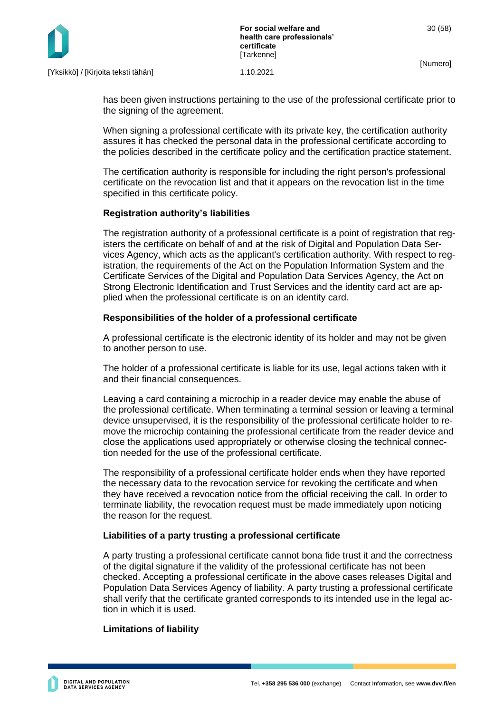

has been given instructions pertaining to the use of the professional certificate prior to the signing of the agreement.

When signing a professional certificate with its private key, the certification authority assures it has checked the personal data in the professional certificate according to the policies described in the certificate policy and the certification practice statement.

The certification authority is responsible for including the right person's professional certificate on the revocation list and that it appears on the revocation list in the time specified in this certificate policy.

## **Registration authority's liabilities**

The registration authority of a professional certificate is a point of registration that registers the certificate on behalf of and at the risk of Digital and Population Data Services Agency, which acts as the applicant's certification authority. With respect to registration, the requirements of the Act on the Population Information System and the Certificate Services of the Digital and Population Data Services Agency, the Act on Strong Electronic Identification and Trust Services and the identity card act are applied when the professional certificate is on an identity card.

## **Responsibilities of the holder of a professional certificate**

A professional certificate is the electronic identity of its holder and may not be given to another person to use.

The holder of a professional certificate is liable for its use, legal actions taken with it and their financial consequences.

Leaving a card containing a microchip in a reader device may enable the abuse of the professional certificate. When terminating a terminal session or leaving a terminal device unsupervised, it is the responsibility of the professional certificate holder to remove the microchip containing the professional certificate from the reader device and close the applications used appropriately or otherwise closing the technical connection needed for the use of the professional certificate.

The responsibility of a professional certificate holder ends when they have reported the necessary data to the revocation service for revoking the certificate and when they have received a revocation notice from the official receiving the call. In order to terminate liability, the revocation request must be made immediately upon noticing the reason for the request.

## **Liabilities of a party trusting a professional certificate**

A party trusting a professional certificate cannot bona fide trust it and the correctness of the digital signature if the validity of the professional certificate has not been checked. Accepting a professional certificate in the above cases releases Digital and Population Data Services Agency of liability. A party trusting a professional certificate shall verify that the certificate granted corresponds to its intended use in the legal action in which it is used.

## **Limitations of liability**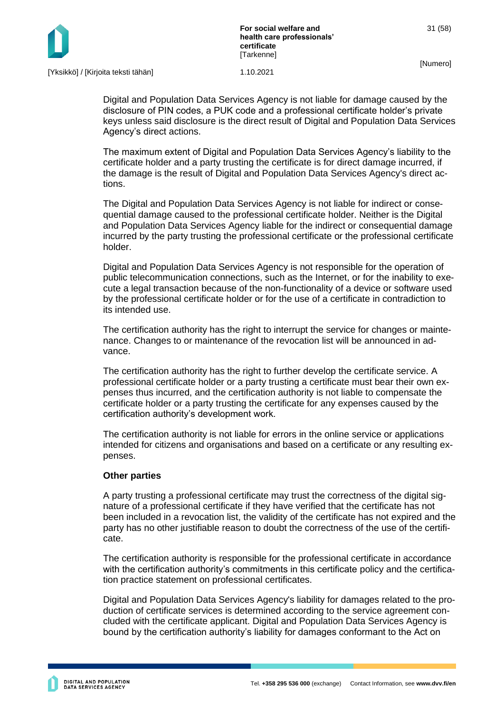

Digital and Population Data Services Agency is not liable for damage caused by the disclosure of PIN codes, a PUK code and a professional certificate holder's private keys unless said disclosure is the direct result of Digital and Population Data Services Agency's direct actions.

The maximum extent of Digital and Population Data Services Agency's liability to the certificate holder and a party trusting the certificate is for direct damage incurred, if the damage is the result of Digital and Population Data Services Agency's direct actions.

The Digital and Population Data Services Agency is not liable for indirect or consequential damage caused to the professional certificate holder. Neither is the Digital and Population Data Services Agency liable for the indirect or consequential damage incurred by the party trusting the professional certificate or the professional certificate holder.

Digital and Population Data Services Agency is not responsible for the operation of public telecommunication connections, such as the Internet, or for the inability to execute a legal transaction because of the non-functionality of a device or software used by the professional certificate holder or for the use of a certificate in contradiction to its intended use.

The certification authority has the right to interrupt the service for changes or maintenance. Changes to or maintenance of the revocation list will be announced in advance.

The certification authority has the right to further develop the certificate service. A professional certificate holder or a party trusting a certificate must bear their own expenses thus incurred, and the certification authority is not liable to compensate the certificate holder or a party trusting the certificate for any expenses caused by the certification authority's development work.

The certification authority is not liable for errors in the online service or applications intended for citizens and organisations and based on a certificate or any resulting expenses.

#### **Other parties**

A party trusting a professional certificate may trust the correctness of the digital signature of a professional certificate if they have verified that the certificate has not been included in a revocation list, the validity of the certificate has not expired and the party has no other justifiable reason to doubt the correctness of the use of the certificate.

The certification authority is responsible for the professional certificate in accordance with the certification authority's commitments in this certificate policy and the certification practice statement on professional certificates.

Digital and Population Data Services Agency's liability for damages related to the production of certificate services is determined according to the service agreement concluded with the certificate applicant. Digital and Population Data Services Agency is bound by the certification authority's liability for damages conformant to the Act on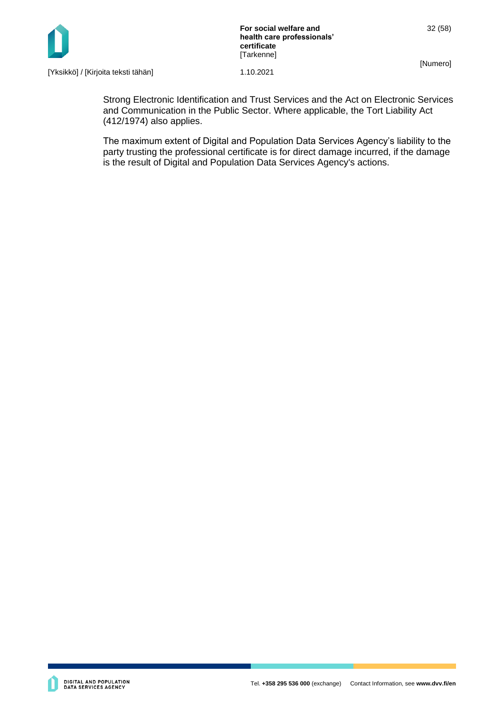

**For social welfare and health care professionals' certificate** [Tarkenne]

[Numero]

32 (58)

[Yksikkö] / [Kirjoita teksti tähän] 1.10.2021

Strong Electronic Identification and Trust Services and the Act on Electronic Services and Communication in the Public Sector. Where applicable, the Tort Liability Act (412/1974) also applies.

The maximum extent of Digital and Population Data Services Agency's liability to the party trusting the professional certificate is for direct damage incurred, if the damage is the result of Digital and Population Data Services Agency's actions.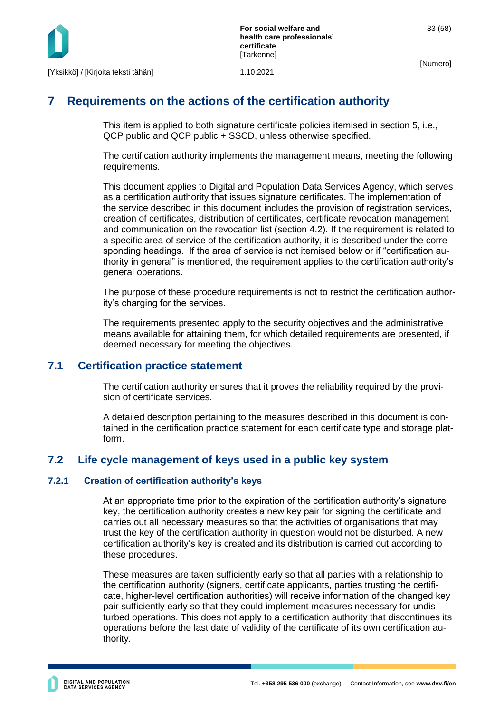

## <span id="page-33-0"></span>**7 Requirements on the actions of the certification authority**

This item is applied to both signature certificate policies itemised in section 5, i.e., QCP public and QCP public + SSCD, unless otherwise specified.

The certification authority implements the management means, meeting the following requirements.

This document applies to Digital and Population Data Services Agency, which serves as a certification authority that issues signature certificates. The implementation of the service described in this document includes the provision of registration services, creation of certificates, distribution of certificates, certificate revocation management and communication on the revocation list (section 4.2). If the requirement is related to a specific area of service of the certification authority, it is described under the corresponding headings. If the area of service is not itemised below or if "certification authority in general" is mentioned, the requirement applies to the certification authority's general operations.

The purpose of these procedure requirements is not to restrict the certification authority's charging for the services.

The requirements presented apply to the security objectives and the administrative means available for attaining them, for which detailed requirements are presented, if deemed necessary for meeting the objectives.

#### <span id="page-33-1"></span>**7.1 Certification practice statement**

The certification authority ensures that it proves the reliability required by the provision of certificate services.

A detailed description pertaining to the measures described in this document is contained in the certification practice statement for each certificate type and storage platform.

## <span id="page-33-2"></span>**7.2 Life cycle management of keys used in a public key system**

#### <span id="page-33-3"></span>**7.2.1 Creation of certification authority's keys**

At an appropriate time prior to the expiration of the certification authority's signature key, the certification authority creates a new key pair for signing the certificate and carries out all necessary measures so that the activities of organisations that may trust the key of the certification authority in question would not be disturbed. A new certification authority's key is created and its distribution is carried out according to these procedures.

These measures are taken sufficiently early so that all parties with a relationship to the certification authority (signers, certificate applicants, parties trusting the certificate, higher-level certification authorities) will receive information of the changed key pair sufficiently early so that they could implement measures necessary for undisturbed operations. This does not apply to a certification authority that discontinues its operations before the last date of validity of the certificate of its own certification authority.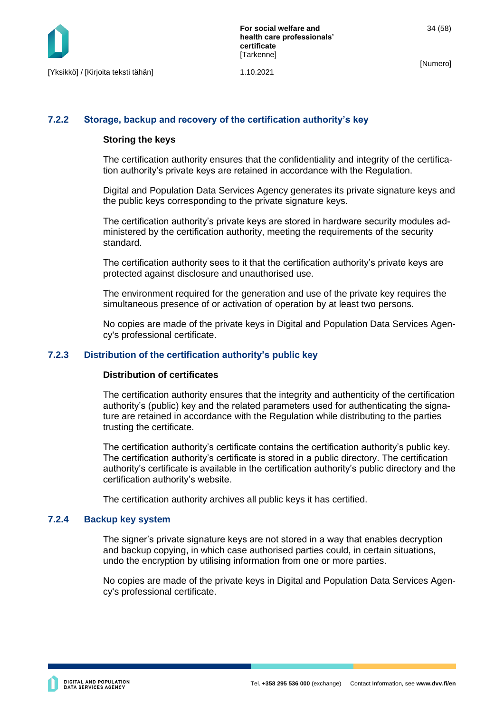#### <span id="page-34-0"></span>**7.2.2 Storage, backup and recovery of the certification authority's key**

#### **Storing the keys**

The certification authority ensures that the confidentiality and integrity of the certification authority's private keys are retained in accordance with the Regulation.

Digital and Population Data Services Agency generates its private signature keys and the public keys corresponding to the private signature keys.

The certification authority's private keys are stored in hardware security modules administered by the certification authority, meeting the requirements of the security standard.

The certification authority sees to it that the certification authority's private keys are protected against disclosure and unauthorised use.

The environment required for the generation and use of the private key requires the simultaneous presence of or activation of operation by at least two persons.

No copies are made of the private keys in Digital and Population Data Services Agency's professional certificate.

#### <span id="page-34-1"></span>**7.2.3 Distribution of the certification authority's public key**

#### **Distribution of certificates**

The certification authority ensures that the integrity and authenticity of the certification authority's (public) key and the related parameters used for authenticating the signature are retained in accordance with the Regulation while distributing to the parties trusting the certificate.

The certification authority's certificate contains the certification authority's public key. The certification authority's certificate is stored in a public directory. The certification authority's certificate is available in the certification authority's public directory and the certification authority's website.

The certification authority archives all public keys it has certified.

#### <span id="page-34-2"></span>**7.2.4 Backup key system**

The signer's private signature keys are not stored in a way that enables decryption and backup copying, in which case authorised parties could, in certain situations, undo the encryption by utilising information from one or more parties.

No copies are made of the private keys in Digital and Population Data Services Agency's professional certificate.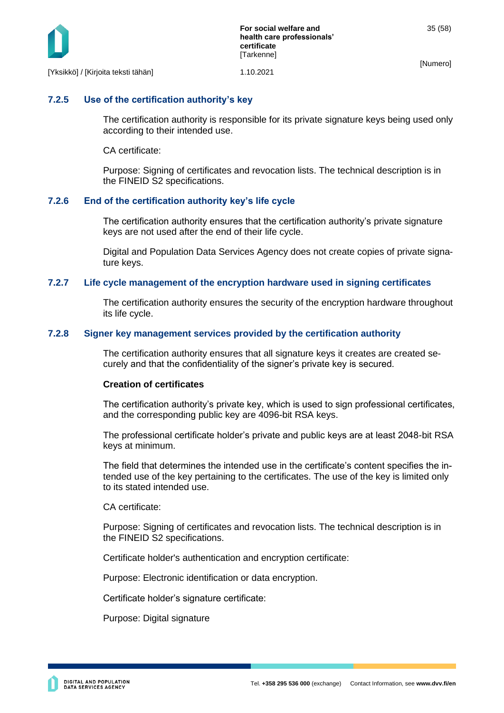

[Yksikkö] / [Kirjoita teksti tähän] 1.10.2021

#### <span id="page-35-0"></span>**7.2.5 Use of the certification authority's key**

The certification authority is responsible for its private signature keys being used only according to their intended use.

CA certificate:

Purpose: Signing of certificates and revocation lists. The technical description is in the FINEID S2 specifications.

#### <span id="page-35-1"></span>**7.2.6 End of the certification authority key's life cycle**

The certification authority ensures that the certification authority's private signature keys are not used after the end of their life cycle.

Digital and Population Data Services Agency does not create copies of private signature keys.

#### <span id="page-35-2"></span>**7.2.7 Life cycle management of the encryption hardware used in signing certificates**

The certification authority ensures the security of the encryption hardware throughout its life cycle.

#### <span id="page-35-3"></span>**7.2.8 Signer key management services provided by the certification authority**

The certification authority ensures that all signature keys it creates are created securely and that the confidentiality of the signer's private key is secured.

#### **Creation of certificates**

The certification authority's private key, which is used to sign professional certificates, and the corresponding public key are 4096-bit RSA keys.

The professional certificate holder's private and public keys are at least 2048-bit RSA keys at minimum.

The field that determines the intended use in the certificate's content specifies the intended use of the key pertaining to the certificates. The use of the key is limited only to its stated intended use.

CA certificate:

Purpose: Signing of certificates and revocation lists. The technical description is in the FINEID S2 specifications.

Certificate holder's authentication and encryption certificate:

Purpose: Electronic identification or data encryption.

Certificate holder's signature certificate:

Purpose: Digital signature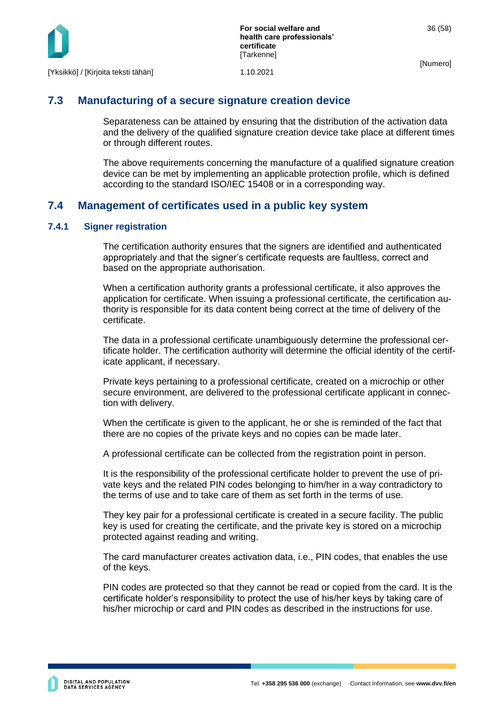



## <span id="page-36-0"></span>**7.3 Manufacturing of a secure signature creation device**

Separateness can be attained by ensuring that the distribution of the activation data and the delivery of the qualified signature creation device take place at different times or through different routes.

The above requirements concerning the manufacture of a qualified signature creation device can be met by implementing an applicable protection profile, which is defined according to the standard ISO/IEC 15408 or in a corresponding way.

## <span id="page-36-1"></span>**7.4 Management of certificates used in a public key system**

#### <span id="page-36-2"></span>**7.4.1 Signer registration**

The certification authority ensures that the signers are identified and authenticated appropriately and that the signer's certificate requests are faultless, correct and based on the appropriate authorisation.

When a certification authority grants a professional certificate, it also approves the application for certificate. When issuing a professional certificate, the certification authority is responsible for its data content being correct at the time of delivery of the certificate.

The data in a professional certificate unambiguously determine the professional certificate holder. The certification authority will determine the official identity of the certificate applicant, if necessary.

Private keys pertaining to a professional certificate, created on a microchip or other secure environment, are delivered to the professional certificate applicant in connection with delivery.

When the certificate is given to the applicant, he or she is reminded of the fact that there are no copies of the private keys and no copies can be made later.

A professional certificate can be collected from the registration point in person.

It is the responsibility of the professional certificate holder to prevent the use of private keys and the related PIN codes belonging to him/her in a way contradictory to the terms of use and to take care of them as set forth in the terms of use.

They key pair for a professional certificate is created in a secure facility. The public key is used for creating the certificate, and the private key is stored on a microchip protected against reading and writing.

The card manufacturer creates activation data, i.e., PIN codes, that enables the use of the keys.

PIN codes are protected so that they cannot be read or copied from the card. It is the certificate holder's responsibility to protect the use of his/her keys by taking care of his/her microchip or card and PIN codes as described in the instructions for use.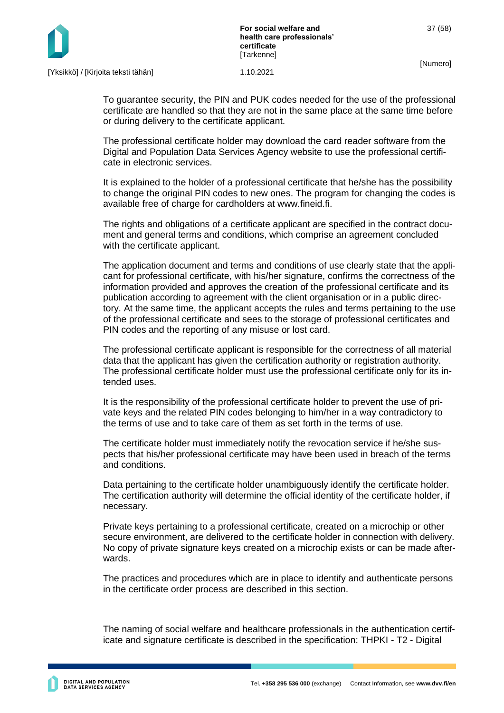

To guarantee security, the PIN and PUK codes needed for the use of the professional certificate are handled so that they are not in the same place at the same time before or during delivery to the certificate applicant.

The professional certificate holder may download the card reader software from the Digital and Population Data Services Agency website to use the professional certificate in electronic services.

It is explained to the holder of a professional certificate that he/she has the possibility to change the original PIN codes to new ones. The program for changing the codes is available free of charge for cardholders at www.fineid.fi.

The rights and obligations of a certificate applicant are specified in the contract document and general terms and conditions, which comprise an agreement concluded with the certificate applicant.

The application document and terms and conditions of use clearly state that the applicant for professional certificate, with his/her signature, confirms the correctness of the information provided and approves the creation of the professional certificate and its publication according to agreement with the client organisation or in a public directory. At the same time, the applicant accepts the rules and terms pertaining to the use of the professional certificate and sees to the storage of professional certificates and PIN codes and the reporting of any misuse or lost card.

The professional certificate applicant is responsible for the correctness of all material data that the applicant has given the certification authority or registration authority. The professional certificate holder must use the professional certificate only for its intended uses.

It is the responsibility of the professional certificate holder to prevent the use of private keys and the related PIN codes belonging to him/her in a way contradictory to the terms of use and to take care of them as set forth in the terms of use.

The certificate holder must immediately notify the revocation service if he/she suspects that his/her professional certificate may have been used in breach of the terms and conditions.

Data pertaining to the certificate holder unambiguously identify the certificate holder. The certification authority will determine the official identity of the certificate holder, if necessary.

Private keys pertaining to a professional certificate, created on a microchip or other secure environment, are delivered to the certificate holder in connection with delivery. No copy of private signature keys created on a microchip exists or can be made afterwards.

The practices and procedures which are in place to identify and authenticate persons in the certificate order process are described in this section.

The naming of social welfare and healthcare professionals in the authentication certificate and signature certificate is described in the specification: THPKI - T2 - Digital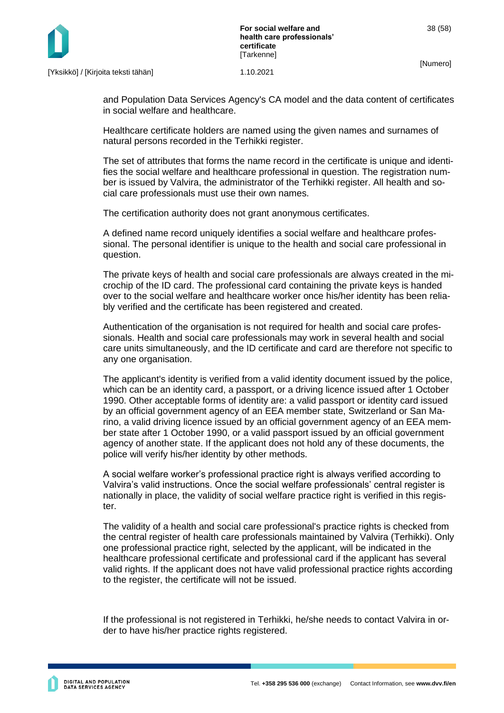

and Population Data Services Agency's CA model and the data content of certificates in social welfare and healthcare.

Healthcare certificate holders are named using the given names and surnames of natural persons recorded in the Terhikki register.

The set of attributes that forms the name record in the certificate is unique and identifies the social welfare and healthcare professional in question. The registration number is issued by Valvira, the administrator of the Terhikki register. All health and social care professionals must use their own names.

The certification authority does not grant anonymous certificates.

A defined name record uniquely identifies a social welfare and healthcare professional. The personal identifier is unique to the health and social care professional in question.

The private keys of health and social care professionals are always created in the microchip of the ID card. The professional card containing the private keys is handed over to the social welfare and healthcare worker once his/her identity has been reliably verified and the certificate has been registered and created.

Authentication of the organisation is not required for health and social care professionals. Health and social care professionals may work in several health and social care units simultaneously, and the ID certificate and card are therefore not specific to any one organisation.

The applicant's identity is verified from a valid identity document issued by the police, which can be an identity card, a passport, or a driving licence issued after 1 October 1990. Other acceptable forms of identity are: a valid passport or identity card issued by an official government agency of an EEA member state, Switzerland or San Marino, a valid driving licence issued by an official government agency of an EEA member state after 1 October 1990, or a valid passport issued by an official government agency of another state. If the applicant does not hold any of these documents, the police will verify his/her identity by other methods.

A social welfare worker's professional practice right is always verified according to Valvira's valid instructions. Once the social welfare professionals' central register is nationally in place, the validity of social welfare practice right is verified in this register.

The validity of a health and social care professional's practice rights is checked from the central register of health care professionals maintained by Valvira (Terhikki). Only one professional practice right, selected by the applicant, will be indicated in the healthcare professional certificate and professional card if the applicant has several valid rights. If the applicant does not have valid professional practice rights according to the register, the certificate will not be issued.

If the professional is not registered in Terhikki, he/she needs to contact Valvira in order to have his/her practice rights registered.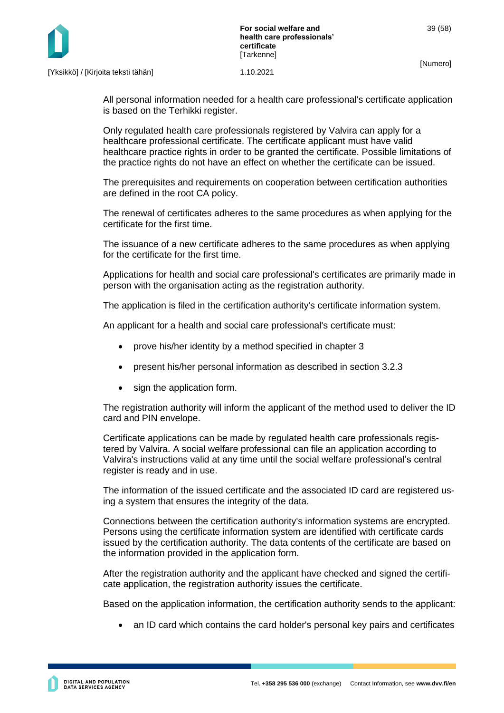

All personal information needed for a health care professional's certificate application is based on the Terhikki register.

Only regulated health care professionals registered by Valvira can apply for a healthcare professional certificate. The certificate applicant must have valid healthcare practice rights in order to be granted the certificate. Possible limitations of the practice rights do not have an effect on whether the certificate can be issued.

The prerequisites and requirements on cooperation between certification authorities are defined in the root CA policy.

The renewal of certificates adheres to the same procedures as when applying for the certificate for the first time.

The issuance of a new certificate adheres to the same procedures as when applying for the certificate for the first time.

Applications for health and social care professional's certificates are primarily made in person with the organisation acting as the registration authority.

The application is filed in the certification authority's certificate information system.

An applicant for a health and social care professional's certificate must:

- prove his/her identity by a method specified in chapter 3
- present his/her personal information as described in section 3.2.3
- sign the application form.

The registration authority will inform the applicant of the method used to deliver the ID card and PIN envelope.

Certificate applications can be made by regulated health care professionals registered by Valvira. A social welfare professional can file an application according to Valvira's instructions valid at any time until the social welfare professional's central register is ready and in use.

The information of the issued certificate and the associated ID card are registered using a system that ensures the integrity of the data.

Connections between the certification authority's information systems are encrypted. Persons using the certificate information system are identified with certificate cards issued by the certification authority. The data contents of the certificate are based on the information provided in the application form.

After the registration authority and the applicant have checked and signed the certificate application, the registration authority issues the certificate.

Based on the application information, the certification authority sends to the applicant:

• an ID card which contains the card holder's personal key pairs and certificates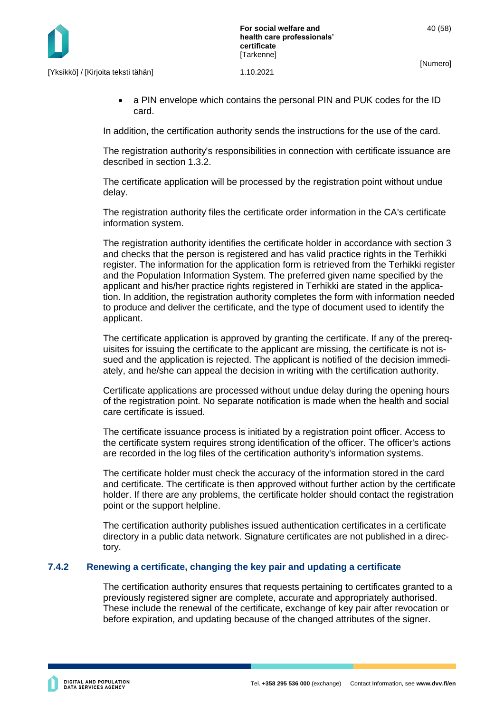• a PIN envelope which contains the personal PIN and PUK codes for the ID card.

In addition, the certification authority sends the instructions for the use of the card.

The registration authority's responsibilities in connection with certificate issuance are described in section 1.3.2.

The certificate application will be processed by the registration point without undue delay.

The registration authority files the certificate order information in the CA's certificate information system.

The registration authority identifies the certificate holder in accordance with section 3 and checks that the person is registered and has valid practice rights in the Terhikki register. The information for the application form is retrieved from the Terhikki register and the Population Information System. The preferred given name specified by the applicant and his/her practice rights registered in Terhikki are stated in the application. In addition, the registration authority completes the form with information needed to produce and deliver the certificate, and the type of document used to identify the applicant.

The certificate application is approved by granting the certificate. If any of the prerequisites for issuing the certificate to the applicant are missing, the certificate is not issued and the application is rejected. The applicant is notified of the decision immediately, and he/she can appeal the decision in writing with the certification authority.

Certificate applications are processed without undue delay during the opening hours of the registration point. No separate notification is made when the health and social care certificate is issued.

The certificate issuance process is initiated by a registration point officer. Access to the certificate system requires strong identification of the officer. The officer's actions are recorded in the log files of the certification authority's information systems.

The certificate holder must check the accuracy of the information stored in the card and certificate. The certificate is then approved without further action by the certificate holder. If there are any problems, the certificate holder should contact the registration point or the support helpline.

The certification authority publishes issued authentication certificates in a certificate directory in a public data network. Signature certificates are not published in a directory.

#### **7.4.2 Renewing a certificate, changing the key pair and updating a certificate**

<span id="page-40-0"></span>The certification authority ensures that requests pertaining to certificates granted to a previously registered signer are complete, accurate and appropriately authorised. These include the renewal of the certificate, exchange of key pair after revocation or before expiration, and updating because of the changed attributes of the signer.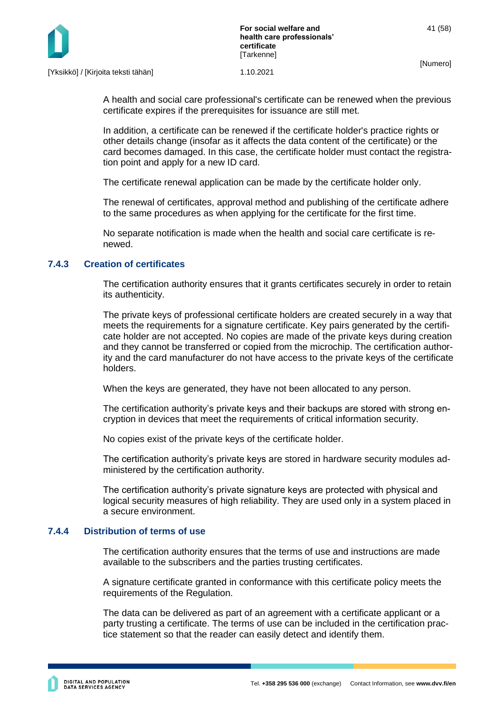

A health and social care professional's certificate can be renewed when the previous certificate expires if the prerequisites for issuance are still met.

In addition, a certificate can be renewed if the certificate holder's practice rights or other details change (insofar as it affects the data content of the certificate) or the card becomes damaged. In this case, the certificate holder must contact the registration point and apply for a new ID card.

The certificate renewal application can be made by the certificate holder only.

The renewal of certificates, approval method and publishing of the certificate adhere to the same procedures as when applying for the certificate for the first time.

No separate notification is made when the health and social care certificate is renewed.

#### <span id="page-41-0"></span>**7.4.3 Creation of certificates**

The certification authority ensures that it grants certificates securely in order to retain its authenticity.

The private keys of professional certificate holders are created securely in a way that meets the requirements for a signature certificate. Key pairs generated by the certificate holder are not accepted. No copies are made of the private keys during creation and they cannot be transferred or copied from the microchip. The certification authority and the card manufacturer do not have access to the private keys of the certificate holders.

When the keys are generated, they have not been allocated to any person.

The certification authority's private keys and their backups are stored with strong encryption in devices that meet the requirements of critical information security.

No copies exist of the private keys of the certificate holder.

The certification authority's private keys are stored in hardware security modules administered by the certification authority.

The certification authority's private signature keys are protected with physical and logical security measures of high reliability. They are used only in a system placed in a secure environment.

#### <span id="page-41-1"></span>**7.4.4 Distribution of terms of use**

The certification authority ensures that the terms of use and instructions are made available to the subscribers and the parties trusting certificates.

A signature certificate granted in conformance with this certificate policy meets the requirements of the Regulation.

The data can be delivered as part of an agreement with a certificate applicant or a party trusting a certificate. The terms of use can be included in the certification practice statement so that the reader can easily detect and identify them.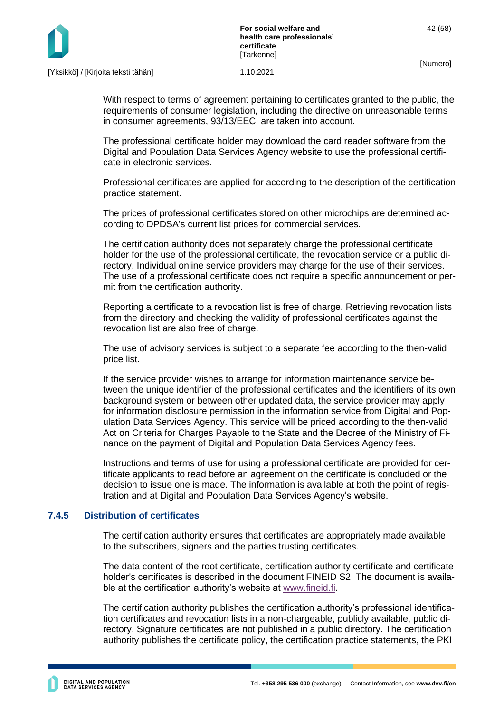

With respect to terms of agreement pertaining to certificates granted to the public, the requirements of consumer legislation, including the directive on unreasonable terms in consumer agreements, 93/13/EEC, are taken into account.

The professional certificate holder may download the card reader software from the Digital and Population Data Services Agency website to use the professional certificate in electronic services.

Professional certificates are applied for according to the description of the certification practice statement.

The prices of professional certificates stored on other microchips are determined according to DPDSA's current list prices for commercial services.

The certification authority does not separately charge the professional certificate holder for the use of the professional certificate, the revocation service or a public directory. Individual online service providers may charge for the use of their services. The use of a professional certificate does not require a specific announcement or permit from the certification authority.

Reporting a certificate to a revocation list is free of charge. Retrieving revocation lists from the directory and checking the validity of professional certificates against the revocation list are also free of charge.

The use of advisory services is subject to a separate fee according to the then-valid price list.

If the service provider wishes to arrange for information maintenance service between the unique identifier of the professional certificates and the identifiers of its own background system or between other updated data, the service provider may apply for information disclosure permission in the information service from Digital and Population Data Services Agency. This service will be priced according to the then-valid Act on Criteria for Charges Payable to the State and the Decree of the Ministry of Finance on the payment of Digital and Population Data Services Agency fees.

Instructions and terms of use for using a professional certificate are provided for certificate applicants to read before an agreement on the certificate is concluded or the decision to issue one is made. The information is available at both the point of registration and at Digital and Population Data Services Agency's website.

#### <span id="page-42-0"></span>**7.4.5 Distribution of certificates**

The certification authority ensures that certificates are appropriately made available to the subscribers, signers and the parties trusting certificates.

The data content of the root certificate, certification authority certificate and certificate holder's certificates is described in the document FINEID S2. The document is available at the certification authority's website at [www.fineid.fi.](http://www.fineid.fi/)

The certification authority publishes the certification authority's professional identification certificates and revocation lists in a non-chargeable, publicly available, public directory. Signature certificates are not published in a public directory. The certification authority publishes the certificate policy, the certification practice statements, the PKI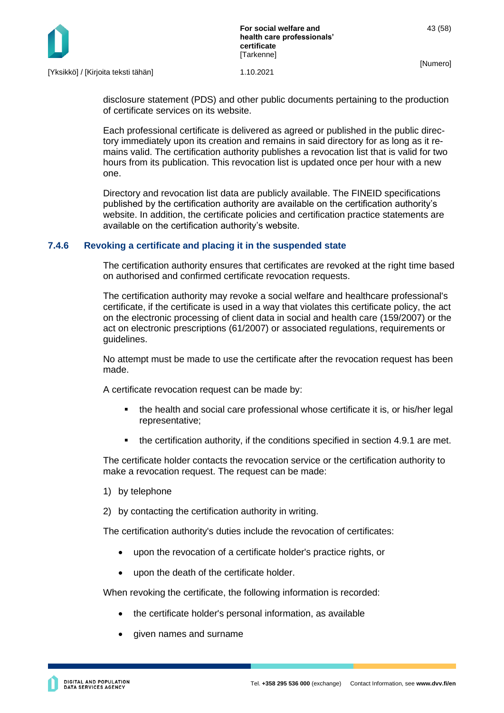

disclosure statement (PDS) and other public documents pertaining to the production of certificate services on its website.

Each professional certificate is delivered as agreed or published in the public directory immediately upon its creation and remains in said directory for as long as it remains valid. The certification authority publishes a revocation list that is valid for two hours from its publication. This revocation list is updated once per hour with a new one.

Directory and revocation list data are publicly available. The FINEID specifications published by the certification authority are available on the certification authority's website. In addition, the certificate policies and certification practice statements are available on the certification authority's website.

#### <span id="page-43-0"></span>**7.4.6 Revoking a certificate and placing it in the suspended state**

The certification authority ensures that certificates are revoked at the right time based on authorised and confirmed certificate revocation requests.

The certification authority may revoke a social welfare and healthcare professional's certificate, if the certificate is used in a way that violates this certificate policy, the act on the electronic processing of client data in social and health care (159/2007) or the act on electronic prescriptions (61/2007) or associated regulations, requirements or guidelines.

No attempt must be made to use the certificate after the revocation request has been made.

A certificate revocation request can be made by:

- the health and social care professional whose certificate it is, or his/her legal representative;
- the certification authority, if the conditions specified in section 4.9.1 are met.

The certificate holder contacts the revocation service or the certification authority to make a revocation request. The request can be made:

- 1) by telephone
- 2) by contacting the certification authority in writing.

The certification authority's duties include the revocation of certificates:

- upon the revocation of a certificate holder's practice rights, or
- upon the death of the certificate holder.

When revoking the certificate, the following information is recorded:

- the certificate holder's personal information, as available
- given names and surname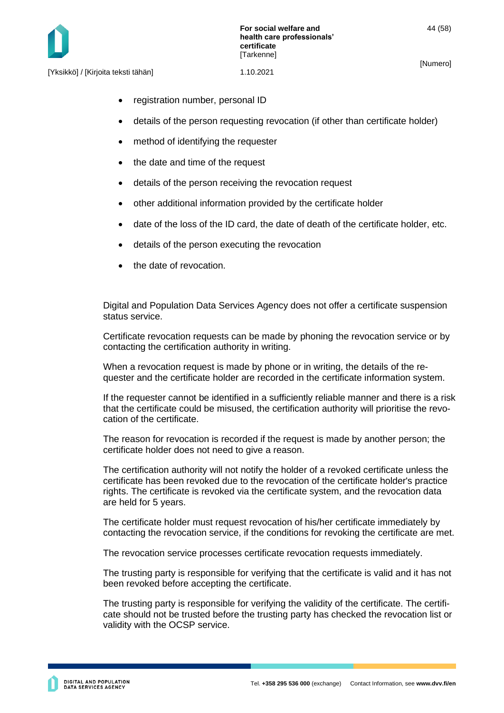- registration number, personal ID
- details of the person requesting revocation (if other than certificate holder)
- method of identifying the requester
- the date and time of the request
- details of the person receiving the revocation request
- other additional information provided by the certificate holder
- date of the loss of the ID card, the date of death of the certificate holder, etc.
- details of the person executing the revocation
- the date of revocation

Digital and Population Data Services Agency does not offer a certificate suspension status service.

Certificate revocation requests can be made by phoning the revocation service or by contacting the certification authority in writing.

When a revocation request is made by phone or in writing, the details of the requester and the certificate holder are recorded in the certificate information system.

If the requester cannot be identified in a sufficiently reliable manner and there is a risk that the certificate could be misused, the certification authority will prioritise the revocation of the certificate.

The reason for revocation is recorded if the request is made by another person; the certificate holder does not need to give a reason.

The certification authority will not notify the holder of a revoked certificate unless the certificate has been revoked due to the revocation of the certificate holder's practice rights. The certificate is revoked via the certificate system, and the revocation data are held for 5 years.

The certificate holder must request revocation of his/her certificate immediately by contacting the revocation service, if the conditions for revoking the certificate are met.

The revocation service processes certificate revocation requests immediately.

The trusting party is responsible for verifying that the certificate is valid and it has not been revoked before accepting the certificate.

The trusting party is responsible for verifying the validity of the certificate. The certificate should not be trusted before the trusting party has checked the revocation list or validity with the OCSP service.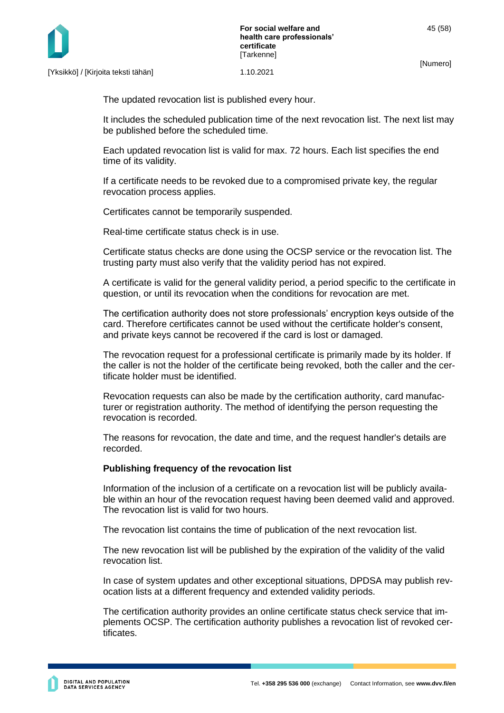

The updated revocation list is published every hour.

It includes the scheduled publication time of the next revocation list. The next list may be published before the scheduled time.

Each updated revocation list is valid for max. 72 hours. Each list specifies the end time of its validity.

If a certificate needs to be revoked due to a compromised private key, the regular revocation process applies.

Certificates cannot be temporarily suspended.

Real-time certificate status check is in use.

Certificate status checks are done using the OCSP service or the revocation list. The trusting party must also verify that the validity period has not expired.

A certificate is valid for the general validity period, a period specific to the certificate in question, or until its revocation when the conditions for revocation are met.

The certification authority does not store professionals' encryption keys outside of the card. Therefore certificates cannot be used without the certificate holder's consent, and private keys cannot be recovered if the card is lost or damaged.

The revocation request for a professional certificate is primarily made by its holder. If the caller is not the holder of the certificate being revoked, both the caller and the certificate holder must be identified.

Revocation requests can also be made by the certification authority, card manufacturer or registration authority. The method of identifying the person requesting the revocation is recorded.

The reasons for revocation, the date and time, and the request handler's details are recorded.

#### **Publishing frequency of the revocation list**

Information of the inclusion of a certificate on a revocation list will be publicly available within an hour of the revocation request having been deemed valid and approved. The revocation list is valid for two hours.

The revocation list contains the time of publication of the next revocation list.

The new revocation list will be published by the expiration of the validity of the valid revocation list.

In case of system updates and other exceptional situations, DPDSA may publish revocation lists at a different frequency and extended validity periods.

The certification authority provides an online certificate status check service that implements OCSP. The certification authority publishes a revocation list of revoked certificates.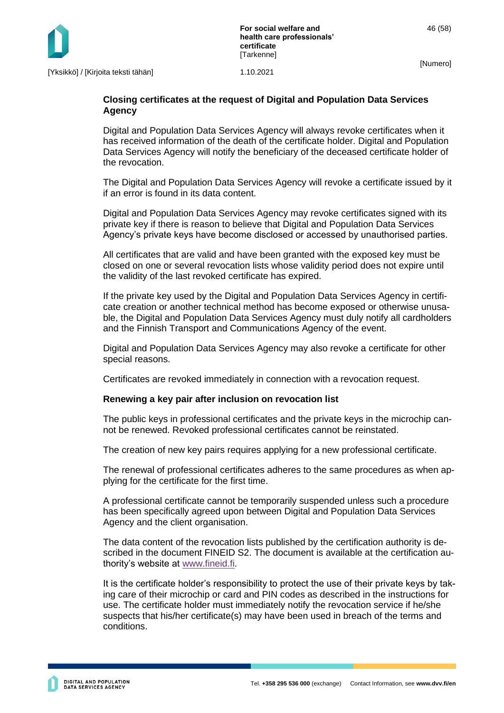#### **Closing certificates at the request of Digital and Population Data Services Agency**

Digital and Population Data Services Agency will always revoke certificates when it has received information of the death of the certificate holder. Digital and Population Data Services Agency will notify the beneficiary of the deceased certificate holder of the revocation.

The Digital and Population Data Services Agency will revoke a certificate issued by it if an error is found in its data content.

Digital and Population Data Services Agency may revoke certificates signed with its private key if there is reason to believe that Digital and Population Data Services Agency's private keys have become disclosed or accessed by unauthorised parties.

All certificates that are valid and have been granted with the exposed key must be closed on one or several revocation lists whose validity period does not expire until the validity of the last revoked certificate has expired.

If the private key used by the Digital and Population Data Services Agency in certificate creation or another technical method has become exposed or otherwise unusable, the Digital and Population Data Services Agency must duly notify all cardholders and the Finnish Transport and Communications Agency of the event.

Digital and Population Data Services Agency may also revoke a certificate for other special reasons.

Certificates are revoked immediately in connection with a revocation request.

#### **Renewing a key pair after inclusion on revocation list**

The public keys in professional certificates and the private keys in the microchip cannot be renewed. Revoked professional certificates cannot be reinstated.

The creation of new key pairs requires applying for a new professional certificate.

The renewal of professional certificates adheres to the same procedures as when applying for the certificate for the first time.

A professional certificate cannot be temporarily suspended unless such a procedure has been specifically agreed upon between Digital and Population Data Services Agency and the client organisation.

The data content of the revocation lists published by the certification authority is described in the document FINEID S2. The document is available at the certification authority's website at [www.fineid.fi.](http://www.fineid.fi/)

It is the certificate holder's responsibility to protect the use of their private keys by taking care of their microchip or card and PIN codes as described in the instructions for use. The certificate holder must immediately notify the revocation service if he/she suspects that his/her certificate(s) may have been used in breach of the terms and conditions.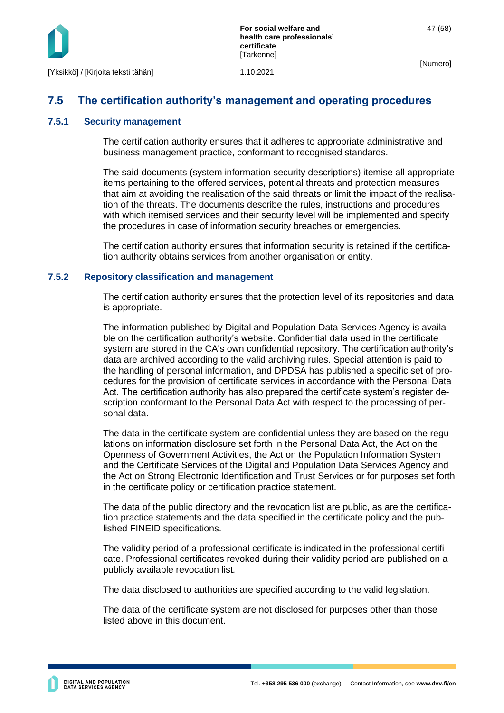

## <span id="page-47-0"></span>**7.5 The certification authority's management and operating procedures**

#### <span id="page-47-1"></span>**7.5.1 Security management**

The certification authority ensures that it adheres to appropriate administrative and business management practice, conformant to recognised standards.

The said documents (system information security descriptions) itemise all appropriate items pertaining to the offered services, potential threats and protection measures that aim at avoiding the realisation of the said threats or limit the impact of the realisation of the threats. The documents describe the rules, instructions and procedures with which itemised services and their security level will be implemented and specify the procedures in case of information security breaches or emergencies.

The certification authority ensures that information security is retained if the certification authority obtains services from another organisation or entity.

#### <span id="page-47-2"></span>**7.5.2 Repository classification and management**

The certification authority ensures that the protection level of its repositories and data is appropriate.

The information published by Digital and Population Data Services Agency is available on the certification authority's website. Confidential data used in the certificate system are stored in the CA's own confidential repository. The certification authority's data are archived according to the valid archiving rules. Special attention is paid to the handling of personal information, and DPDSA has published a specific set of procedures for the provision of certificate services in accordance with the Personal Data Act. The certification authority has also prepared the certificate system's register description conformant to the Personal Data Act with respect to the processing of personal data.

The data in the certificate system are confidential unless they are based on the regulations on information disclosure set forth in the Personal Data Act, the Act on the Openness of Government Activities, the Act on the Population Information System and the Certificate Services of the Digital and Population Data Services Agency and the Act on Strong Electronic Identification and Trust Services or for purposes set forth in the certificate policy or certification practice statement.

The data of the public directory and the revocation list are public, as are the certification practice statements and the data specified in the certificate policy and the published FINEID specifications.

The validity period of a professional certificate is indicated in the professional certificate. Professional certificates revoked during their validity period are published on a publicly available revocation list*.*

The data disclosed to authorities are specified according to the valid legislation.

The data of the certificate system are not disclosed for purposes other than those listed above in this document.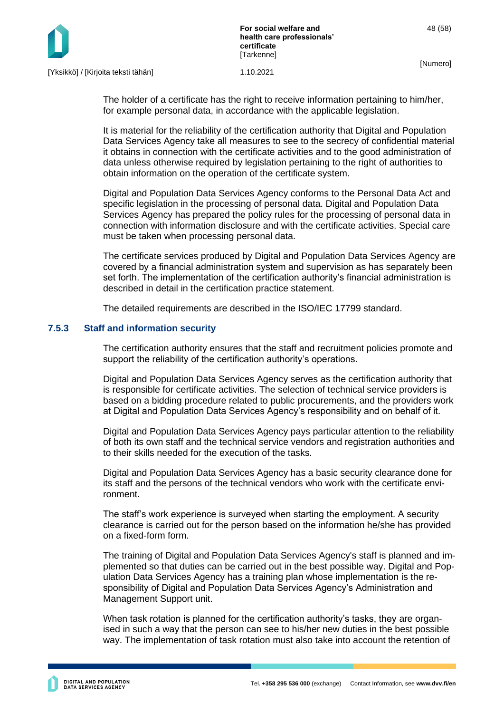

The holder of a certificate has the right to receive information pertaining to him/her, for example personal data, in accordance with the applicable legislation.

It is material for the reliability of the certification authority that Digital and Population Data Services Agency take all measures to see to the secrecy of confidential material it obtains in connection with the certificate activities and to the good administration of data unless otherwise required by legislation pertaining to the right of authorities to obtain information on the operation of the certificate system.

Digital and Population Data Services Agency conforms to the Personal Data Act and specific legislation in the processing of personal data. Digital and Population Data Services Agency has prepared the policy rules for the processing of personal data in connection with information disclosure and with the certificate activities. Special care must be taken when processing personal data.

The certificate services produced by Digital and Population Data Services Agency are covered by a financial administration system and supervision as has separately been set forth. The implementation of the certification authority's financial administration is described in detail in the certification practice statement.

The detailed requirements are described in the ISO/IEC 17799 standard.

#### <span id="page-48-0"></span>**7.5.3 Staff and information security**

The certification authority ensures that the staff and recruitment policies promote and support the reliability of the certification authority's operations.

Digital and Population Data Services Agency serves as the certification authority that is responsible for certificate activities. The selection of technical service providers is based on a bidding procedure related to public procurements, and the providers work at Digital and Population Data Services Agency's responsibility and on behalf of it.

Digital and Population Data Services Agency pays particular attention to the reliability of both its own staff and the technical service vendors and registration authorities and to their skills needed for the execution of the tasks.

Digital and Population Data Services Agency has a basic security clearance done for its staff and the persons of the technical vendors who work with the certificate environment.

The staff's work experience is surveyed when starting the employment. A security clearance is carried out for the person based on the information he/she has provided on a fixed-form form.

The training of Digital and Population Data Services Agency's staff is planned and implemented so that duties can be carried out in the best possible way. Digital and Population Data Services Agency has a training plan whose implementation is the responsibility of Digital and Population Data Services Agency's Administration and Management Support unit.

When task rotation is planned for the certification authority's tasks, they are organised in such a way that the person can see to his/her new duties in the best possible way. The implementation of task rotation must also take into account the retention of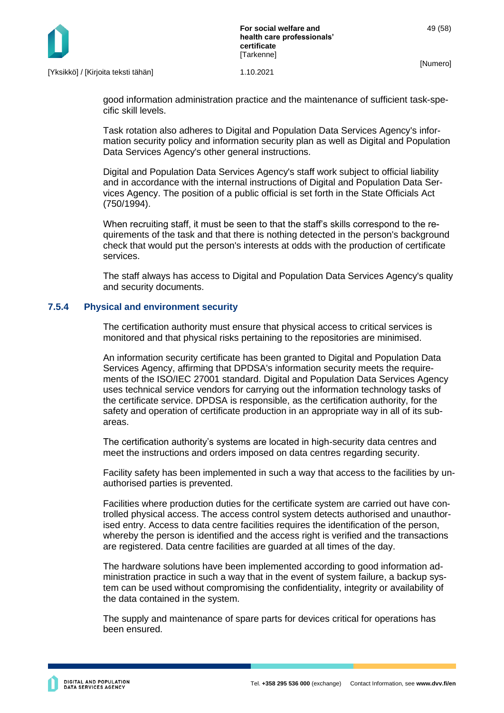

good information administration practice and the maintenance of sufficient task-specific skill levels.

Task rotation also adheres to Digital and Population Data Services Agency's information security policy and information security plan as well as Digital and Population Data Services Agency's other general instructions.

Digital and Population Data Services Agency's staff work subject to official liability and in accordance with the internal instructions of Digital and Population Data Services Agency. The position of a public official is set forth in the State Officials Act (750/1994).

When recruiting staff, it must be seen to that the staff's skills correspond to the requirements of the task and that there is nothing detected in the person's background check that would put the person's interests at odds with the production of certificate services.

The staff always has access to Digital and Population Data Services Agency's quality and security documents.

#### <span id="page-49-0"></span>**7.5.4 Physical and environment security**

The certification authority must ensure that physical access to critical services is monitored and that physical risks pertaining to the repositories are minimised.

An information security certificate has been granted to Digital and Population Data Services Agency, affirming that DPDSA's information security meets the requirements of the ISO/IEC 27001 standard. Digital and Population Data Services Agency uses technical service vendors for carrying out the information technology tasks of the certificate service. DPDSA is responsible, as the certification authority, for the safety and operation of certificate production in an appropriate way in all of its subareas.

The certification authority's systems are located in high-security data centres and meet the instructions and orders imposed on data centres regarding security.

Facility safety has been implemented in such a way that access to the facilities by unauthorised parties is prevented.

Facilities where production duties for the certificate system are carried out have controlled physical access. The access control system detects authorised and unauthorised entry. Access to data centre facilities requires the identification of the person, whereby the person is identified and the access right is verified and the transactions are registered. Data centre facilities are guarded at all times of the day.

The hardware solutions have been implemented according to good information administration practice in such a way that in the event of system failure, a backup system can be used without compromising the confidentiality, integrity or availability of the data contained in the system.

The supply and maintenance of spare parts for devices critical for operations has been ensured.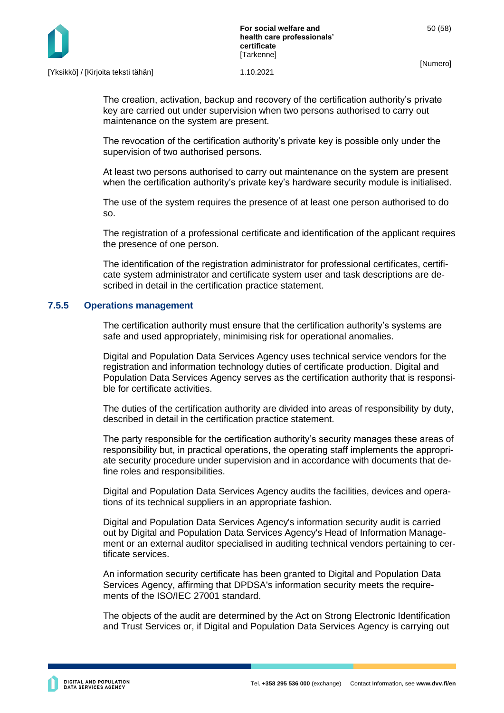

The creation, activation, backup and recovery of the certification authority's private key are carried out under supervision when two persons authorised to carry out maintenance on the system are present.

The revocation of the certification authority's private key is possible only under the supervision of two authorised persons.

At least two persons authorised to carry out maintenance on the system are present when the certification authority's private key's hardware security module is initialised.

The use of the system requires the presence of at least one person authorised to do so.

The registration of a professional certificate and identification of the applicant requires the presence of one person.

The identification of the registration administrator for professional certificates, certificate system administrator and certificate system user and task descriptions are described in detail in the certification practice statement.

#### <span id="page-50-0"></span>**7.5.5 Operations management**

The certification authority must ensure that the certification authority's systems are safe and used appropriately, minimising risk for operational anomalies.

Digital and Population Data Services Agency uses technical service vendors for the registration and information technology duties of certificate production. Digital and Population Data Services Agency serves as the certification authority that is responsible for certificate activities.

The duties of the certification authority are divided into areas of responsibility by duty, described in detail in the certification practice statement.

The party responsible for the certification authority's security manages these areas of responsibility but, in practical operations, the operating staff implements the appropriate security procedure under supervision and in accordance with documents that define roles and responsibilities.

Digital and Population Data Services Agency audits the facilities, devices and operations of its technical suppliers in an appropriate fashion.

Digital and Population Data Services Agency's information security audit is carried out by Digital and Population Data Services Agency's Head of Information Management or an external auditor specialised in auditing technical vendors pertaining to certificate services.

An information security certificate has been granted to Digital and Population Data Services Agency, affirming that DPDSA's information security meets the requirements of the ISO/IEC 27001 standard.

The objects of the audit are determined by the Act on Strong Electronic Identification and Trust Services or, if Digital and Population Data Services Agency is carrying out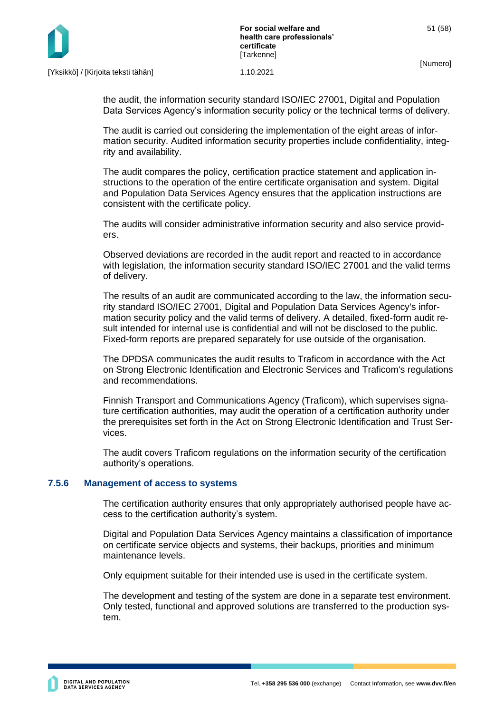

the audit, the information security standard ISO/IEC 27001, Digital and Population Data Services Agency's information security policy or the technical terms of delivery.

The audit is carried out considering the implementation of the eight areas of information security. Audited information security properties include confidentiality, integrity and availability.

The audit compares the policy, certification practice statement and application instructions to the operation of the entire certificate organisation and system. Digital and Population Data Services Agency ensures that the application instructions are consistent with the certificate policy.

The audits will consider administrative information security and also service providers.

Observed deviations are recorded in the audit report and reacted to in accordance with legislation, the information security standard ISO/IEC 27001 and the valid terms of delivery.

The results of an audit are communicated according to the law, the information security standard ISO/IEC 27001, Digital and Population Data Services Agency's information security policy and the valid terms of delivery. A detailed, fixed-form audit result intended for internal use is confidential and will not be disclosed to the public. Fixed-form reports are prepared separately for use outside of the organisation.

The DPDSA communicates the audit results to Traficom in accordance with the Act on Strong Electronic Identification and Electronic Services and Traficom's regulations and recommendations.

Finnish Transport and Communications Agency (Traficom), which supervises signature certification authorities, may audit the operation of a certification authority under the prerequisites set forth in the Act on Strong Electronic Identification and Trust Services.

The audit covers Traficom regulations on the information security of the certification authority's operations.

#### <span id="page-51-0"></span>**7.5.6 Management of access to systems**

The certification authority ensures that only appropriately authorised people have access to the certification authority's system.

Digital and Population Data Services Agency maintains a classification of importance on certificate service objects and systems, their backups, priorities and minimum maintenance levels.

Only equipment suitable for their intended use is used in the certificate system.

The development and testing of the system are done in a separate test environment. Only tested, functional and approved solutions are transferred to the production system.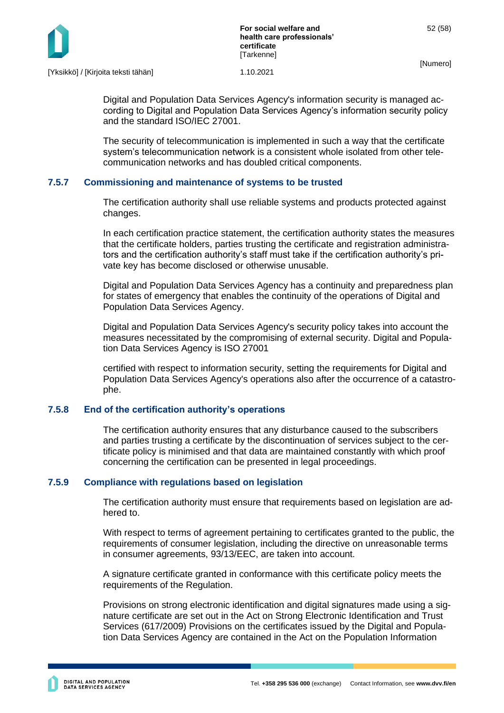

Digital and Population Data Services Agency's information security is managed according to Digital and Population Data Services Agency's information security policy and the standard ISO/IEC 27001.

The security of telecommunication is implemented in such a way that the certificate system's telecommunication network is a consistent whole isolated from other telecommunication networks and has doubled critical components.

#### <span id="page-52-0"></span>**7.5.7 Commissioning and maintenance of systems to be trusted**

The certification authority shall use reliable systems and products protected against changes.

In each certification practice statement, the certification authority states the measures that the certificate holders, parties trusting the certificate and registration administrators and the certification authority's staff must take if the certification authority's private key has become disclosed or otherwise unusable.

Digital and Population Data Services Agency has a continuity and preparedness plan for states of emergency that enables the continuity of the operations of Digital and Population Data Services Agency.

Digital and Population Data Services Agency's security policy takes into account the measures necessitated by the compromising of external security. Digital and Population Data Services Agency is ISO 27001

certified with respect to information security, setting the requirements for Digital and Population Data Services Agency's operations also after the occurrence of a catastrophe.

#### <span id="page-52-1"></span>**7.5.8 End of the certification authority's operations**

The certification authority ensures that any disturbance caused to the subscribers and parties trusting a certificate by the discontinuation of services subject to the certificate policy is minimised and that data are maintained constantly with which proof concerning the certification can be presented in legal proceedings.

#### <span id="page-52-2"></span>**7.5.9 Compliance with regulations based on legislation**

The certification authority must ensure that requirements based on legislation are adhered to.

With respect to terms of agreement pertaining to certificates granted to the public, the requirements of consumer legislation, including the directive on unreasonable terms in consumer agreements, 93/13/EEC, are taken into account.

A signature certificate granted in conformance with this certificate policy meets the requirements of the Regulation.

Provisions on strong electronic identification and digital signatures made using a signature certificate are set out in the Act on Strong Electronic Identification and Trust Services (617/2009) Provisions on the certificates issued by the Digital and Population Data Services Agency are contained in the Act on the Population Information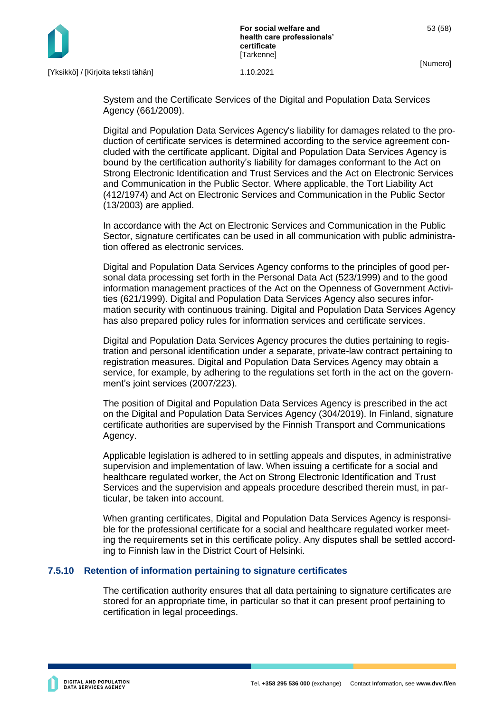



System and the Certificate Services of the Digital and Population Data Services Agency (661/2009).

Digital and Population Data Services Agency's liability for damages related to the production of certificate services is determined according to the service agreement concluded with the certificate applicant. Digital and Population Data Services Agency is bound by the certification authority's liability for damages conformant to the Act on Strong Electronic Identification and Trust Services and the Act on Electronic Services and Communication in the Public Sector. Where applicable, the Tort Liability Act (412/1974) and Act on Electronic Services and Communication in the Public Sector (13/2003) are applied.

In accordance with the Act on Electronic Services and Communication in the Public Sector, signature certificates can be used in all communication with public administration offered as electronic services.

Digital and Population Data Services Agency conforms to the principles of good personal data processing set forth in the Personal Data Act (523/1999) and to the good information management practices of the Act on the Openness of Government Activities (621/1999). Digital and Population Data Services Agency also secures information security with continuous training. Digital and Population Data Services Agency has also prepared policy rules for information services and certificate services.

Digital and Population Data Services Agency procures the duties pertaining to registration and personal identification under a separate, private-law contract pertaining to registration measures. Digital and Population Data Services Agency may obtain a service, for example, by adhering to the regulations set forth in the act on the government's joint services (2007/223).

The position of Digital and Population Data Services Agency is prescribed in the act on the Digital and Population Data Services Agency (304/2019). In Finland, signature certificate authorities are supervised by the Finnish Transport and Communications Agency.

Applicable legislation is adhered to in settling appeals and disputes, in administrative supervision and implementation of law. When issuing a certificate for a social and healthcare regulated worker, the Act on Strong Electronic Identification and Trust Services and the supervision and appeals procedure described therein must, in particular, be taken into account.

When granting certificates, Digital and Population Data Services Agency is responsible for the professional certificate for a social and healthcare regulated worker meeting the requirements set in this certificate policy. Any disputes shall be settled according to Finnish law in the District Court of Helsinki.

#### <span id="page-53-0"></span>**7.5.10 Retention of information pertaining to signature certificates**

The certification authority ensures that all data pertaining to signature certificates are stored for an appropriate time, in particular so that it can present proof pertaining to certification in legal proceedings.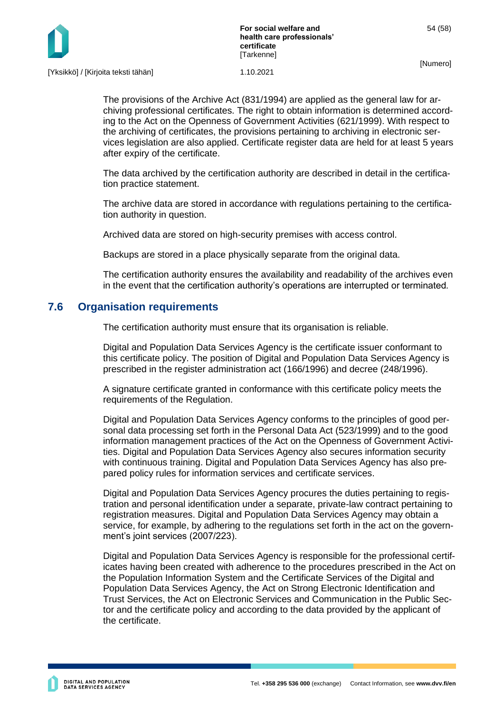

The provisions of the Archive Act (831/1994) are applied as the general law for archiving professional certificates. The right to obtain information is determined according to the Act on the Openness of Government Activities (621/1999). With respect to the archiving of certificates, the provisions pertaining to archiving in electronic services legislation are also applied. Certificate register data are held for at least 5 years after expiry of the certificate.

The data archived by the certification authority are described in detail in the certification practice statement.

The archive data are stored in accordance with regulations pertaining to the certification authority in question.

Archived data are stored on high-security premises with access control.

Backups are stored in a place physically separate from the original data.

The certification authority ensures the availability and readability of the archives even in the event that the certification authority's operations are interrupted or terminated*.*

### <span id="page-54-0"></span>**7.6 Organisation requirements**

The certification authority must ensure that its organisation is reliable.

Digital and Population Data Services Agency is the certificate issuer conformant to this certificate policy. The position of Digital and Population Data Services Agency is prescribed in the register administration act (166/1996) and decree (248/1996).

A signature certificate granted in conformance with this certificate policy meets the requirements of the Regulation.

Digital and Population Data Services Agency conforms to the principles of good personal data processing set forth in the Personal Data Act (523/1999) and to the good information management practices of the Act on the Openness of Government Activities. Digital and Population Data Services Agency also secures information security with continuous training. Digital and Population Data Services Agency has also prepared policy rules for information services and certificate services.

Digital and Population Data Services Agency procures the duties pertaining to registration and personal identification under a separate, private-law contract pertaining to registration measures. Digital and Population Data Services Agency may obtain a service, for example, by adhering to the regulations set forth in the act on the government's joint services (2007/223).

Digital and Population Data Services Agency is responsible for the professional certificates having been created with adherence to the procedures prescribed in the Act on the Population Information System and the Certificate Services of the Digital and Population Data Services Agency, the Act on Strong Electronic Identification and Trust Services, the Act on Electronic Services and Communication in the Public Sector and the certificate policy and according to the data provided by the applicant of the certificate.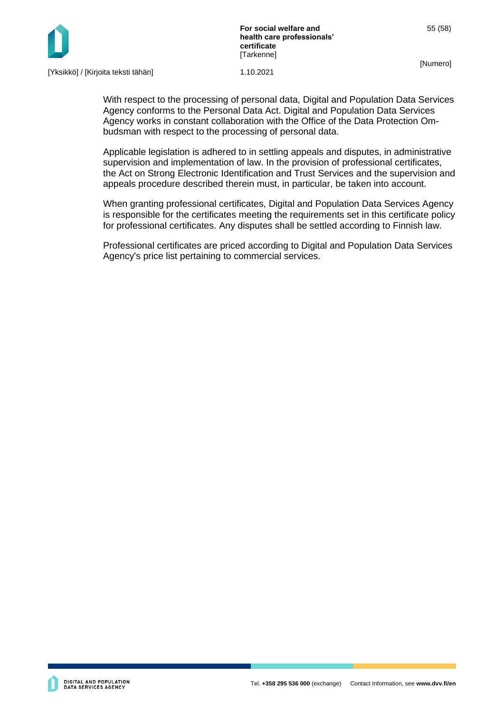

**For social welfare and health care professionals' certificate [Tarkenne]** 

55 (58)

[Numero]

With respect to the processing of personal data, Digital and Population Data Services Agency conforms to the Personal Data Act. Digital and Population Data Services Agency works in constant collaboration with the Office of the Data Protection Ombudsman with respect to the processing of personal data.

Applicable legislation is adhered to in settling appeals and disputes, in administrative supervision and implementation of law. In the provision of professional certificates, the Act on Strong Electronic Identification and Trust Services and the supervision and appeals procedure described therein must, in particular, be taken into account.

When granting professional certificates, Digital and Population Data Services Agency is responsible for the certificates meeting the requirements set in this certificate policy for professional certificates. Any disputes shall be settled according to Finnish law.

Professional certificates are priced according to Digital and Population Data Services Agency's price list pertaining to commercial services.

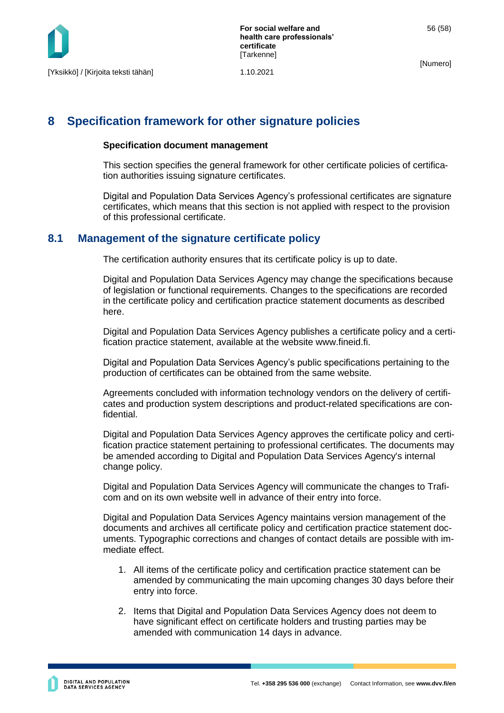

## <span id="page-56-0"></span>**8 Specification framework for other signature policies**

#### **Specification document management**

This section specifies the general framework for other certificate policies of certification authorities issuing signature certificates.

Digital and Population Data Services Agency's professional certificates are signature certificates, which means that this section is not applied with respect to the provision of this professional certificate.

#### <span id="page-56-1"></span>**8.1 Management of the signature certificate policy**

The certification authority ensures that its certificate policy is up to date.

Digital and Population Data Services Agency may change the specifications because of legislation or functional requirements. Changes to the specifications are recorded in the certificate policy and certification practice statement documents as described here.

Digital and Population Data Services Agency publishes a certificate policy and a certification practice statement, available at the website www.fineid.fi.

Digital and Population Data Services Agency's public specifications pertaining to the production of certificates can be obtained from the same website.

Agreements concluded with information technology vendors on the delivery of certificates and production system descriptions and product-related specifications are confidential.

Digital and Population Data Services Agency approves the certificate policy and certification practice statement pertaining to professional certificates. The documents may be amended according to Digital and Population Data Services Agency's internal change policy.

Digital and Population Data Services Agency will communicate the changes to Traficom and on its own website well in advance of their entry into force.

Digital and Population Data Services Agency maintains version management of the documents and archives all certificate policy and certification practice statement documents. Typographic corrections and changes of contact details are possible with immediate effect.

- 1. All items of the certificate policy and certification practice statement can be amended by communicating the main upcoming changes 30 days before their entry into force.
- 2. Items that Digital and Population Data Services Agency does not deem to have significant effect on certificate holders and trusting parties may be amended with communication 14 days in advance.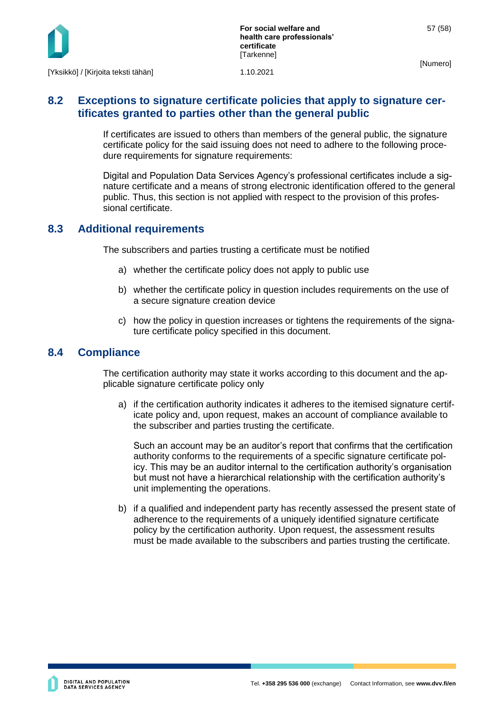

## <span id="page-57-0"></span>**8.2 Exceptions to signature certificate policies that apply to signature certificates granted to parties other than the general public**

If certificates are issued to others than members of the general public, the signature certificate policy for the said issuing does not need to adhere to the following procedure requirements for signature requirements:

Digital and Population Data Services Agency's professional certificates include a signature certificate and a means of strong electronic identification offered to the general public. Thus, this section is not applied with respect to the provision of this professional certificate.

## <span id="page-57-1"></span>**8.3 Additional requirements**

The subscribers and parties trusting a certificate must be notified

- a) whether the certificate policy does not apply to public use
- b) whether the certificate policy in question includes requirements on the use of a secure signature creation device
- c) how the policy in question increases or tightens the requirements of the signature certificate policy specified in this document.

### <span id="page-57-2"></span>**8.4 Compliance**

The certification authority may state it works according to this document and the applicable signature certificate policy only

a) if the certification authority indicates it adheres to the itemised signature certificate policy and, upon request, makes an account of compliance available to the subscriber and parties trusting the certificate.

Such an account may be an auditor's report that confirms that the certification authority conforms to the requirements of a specific signature certificate policy. This may be an auditor internal to the certification authority's organisation but must not have a hierarchical relationship with the certification authority's unit implementing the operations.

b) if a qualified and independent party has recently assessed the present state of adherence to the requirements of a uniquely identified signature certificate policy by the certification authority. Upon request, the assessment results must be made available to the subscribers and parties trusting the certificate.